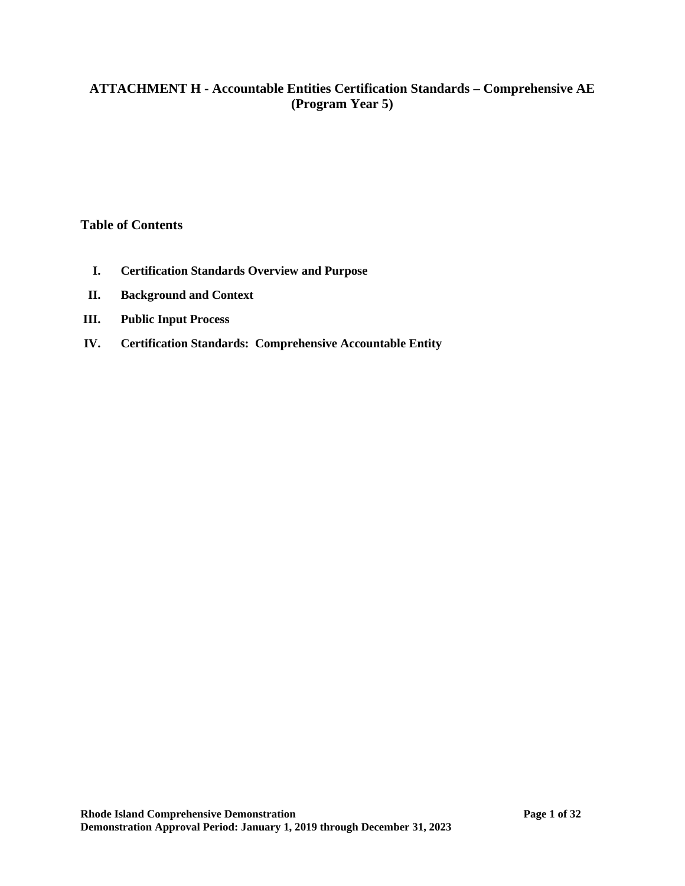# **ATTACHMENT H - Accountable Entities Certification Standards – Comprehensive AE (Program Year 5)**

### **Table of Contents**

- **I. Certification Standards Overview and Purpose**
- **II. Background and Context**
- **III. Public Input Process**
- **IV. Certification Standards: Comprehensive Accountable Entity**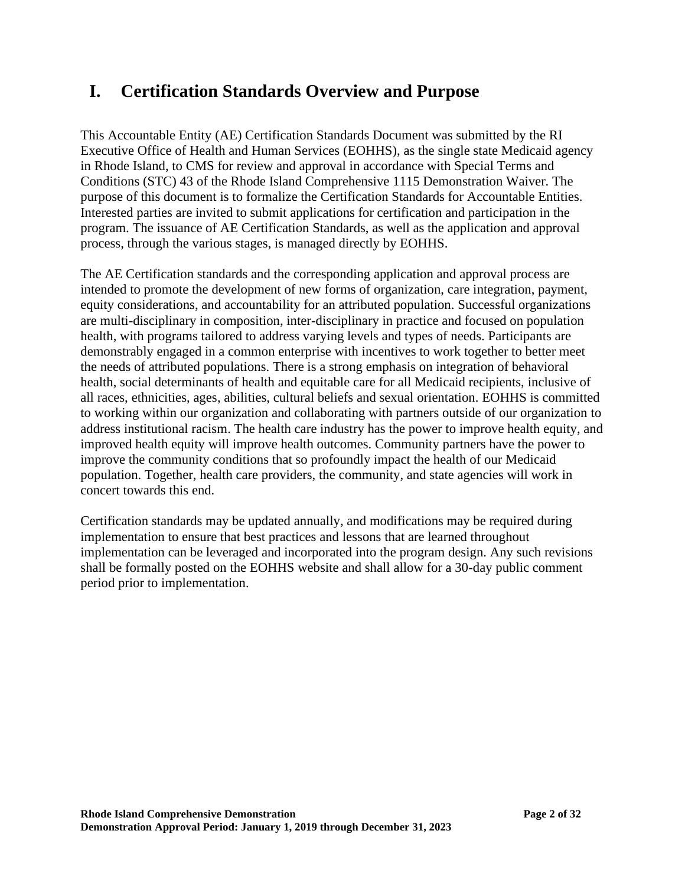# **I. Certification Standards Overview and Purpose**

This Accountable Entity (AE) Certification Standards Document was submitted by the RI Executive Office of Health and Human Services (EOHHS), as the single state Medicaid agency in Rhode Island, to CMS for review and approval in accordance with Special Terms and Conditions (STC) 43 of the Rhode Island Comprehensive 1115 Demonstration Waiver. The purpose of this document is to formalize the Certification Standards for Accountable Entities. Interested parties are invited to submit applications for certification and participation in the program. The issuance of AE Certification Standards, as well as the application and approval process, through the various stages, is managed directly by EOHHS.

The AE Certification standards and the corresponding application and approval process are intended to promote the development of new forms of organization, care integration, payment, equity considerations, and accountability for an attributed population. Successful organizations are multi-disciplinary in composition, inter-disciplinary in practice and focused on population health, with programs tailored to address varying levels and types of needs. Participants are demonstrably engaged in a common enterprise with incentives to work together to better meet the needs of attributed populations. There is a strong emphasis on integration of behavioral health, social determinants of health and equitable care for all Medicaid recipients, inclusive of all races, ethnicities, ages, abilities, cultural beliefs and sexual orientation. EOHHS is committed to working within our organization and collaborating with partners outside of our organization to address institutional racism. The health care industry has the power to improve health equity, and improved health equity will improve health outcomes. Community partners have the power to improve the community conditions that so profoundly impact the health of our Medicaid population. Together, health care providers, the community, and state agencies will work in concert towards this end.

Certification standards may be updated annually, and modifications may be required during implementation to ensure that best practices and lessons that are learned throughout implementation can be leveraged and incorporated into the program design. Any such revisions shall be formally posted on the EOHHS website and shall allow for a 30-day public comment period prior to implementation.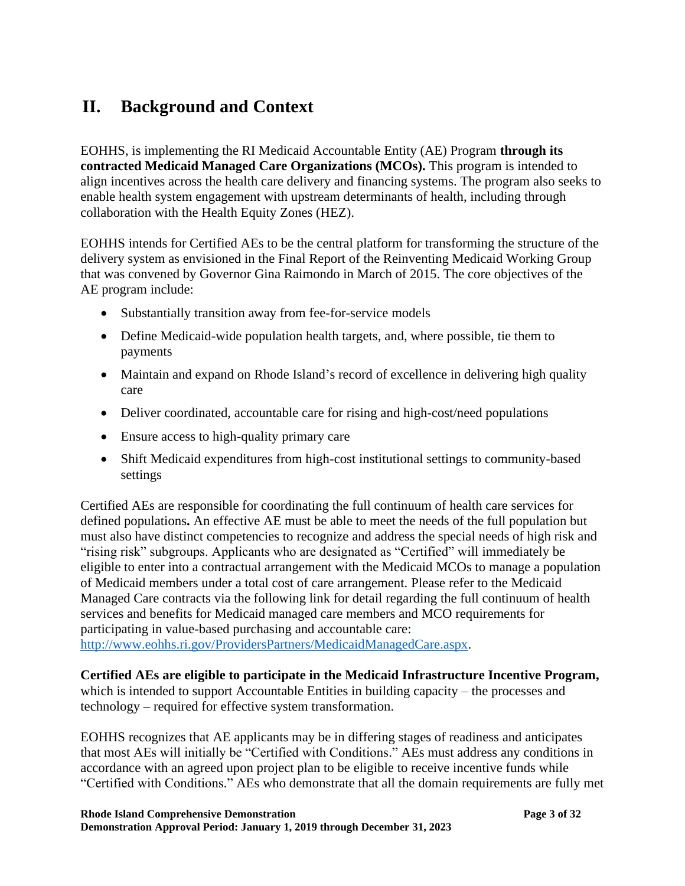# **II. Background and Context**

EOHHS, is implementing the RI Medicaid Accountable Entity (AE) Program **through its contracted Medicaid Managed Care Organizations (MCOs).** This program is intended to align incentives across the health care delivery and financing systems. The program also seeks to enable health system engagement with upstream determinants of health, including through collaboration with the Health Equity Zones (HEZ).

EOHHS intends for Certified AEs to be the central platform for transforming the structure of the delivery system as envisioned in the Final Report of the Reinventing Medicaid Working Group that was convened by Governor Gina Raimondo in March of 2015. The core objectives of the AE program include:

- Substantially transition away from fee-for-service models
- Define Medicaid-wide population health targets, and, where possible, tie them to payments
- Maintain and expand on Rhode Island's record of excellence in delivering high quality care
- Deliver coordinated, accountable care for rising and high-cost/need populations
- Ensure access to high-quality primary care
- Shift Medicaid expenditures from high-cost institutional settings to community-based settings

Certified AEs are responsible for coordinating the full continuum of health care services for defined populations**.** An effective AE must be able to meet the needs of the full population but must also have distinct competencies to recognize and address the special needs of high risk and "rising risk" subgroups. Applicants who are designated as "Certified" will immediately be eligible to enter into a contractual arrangement with the Medicaid MCOs to manage a population of Medicaid members under a total cost of care arrangement. Please refer to the Medicaid Managed Care contracts via the following link for detail regarding the full continuum of health services and benefits for Medicaid managed care members and MCO requirements for participating in value-based purchasing and accountable care: [http://www.eohhs.ri.gov/ProvidersPartners/MedicaidManagedCare.aspx.](http://www.eohhs.ri.gov/ProvidersPartners/MedicaidManagedCare.aspx)

# **Certified AEs are eligible to participate in the Medicaid Infrastructure Incentive Program,**

which is intended to support Accountable Entities in building capacity – the processes and technology – required for effective system transformation.

EOHHS recognizes that AE applicants may be in differing stages of readiness and anticipates that most AEs will initially be "Certified with Conditions." AEs must address any conditions in accordance with an agreed upon project plan to be eligible to receive incentive funds while "Certified with Conditions." AEs who demonstrate that all the domain requirements are fully met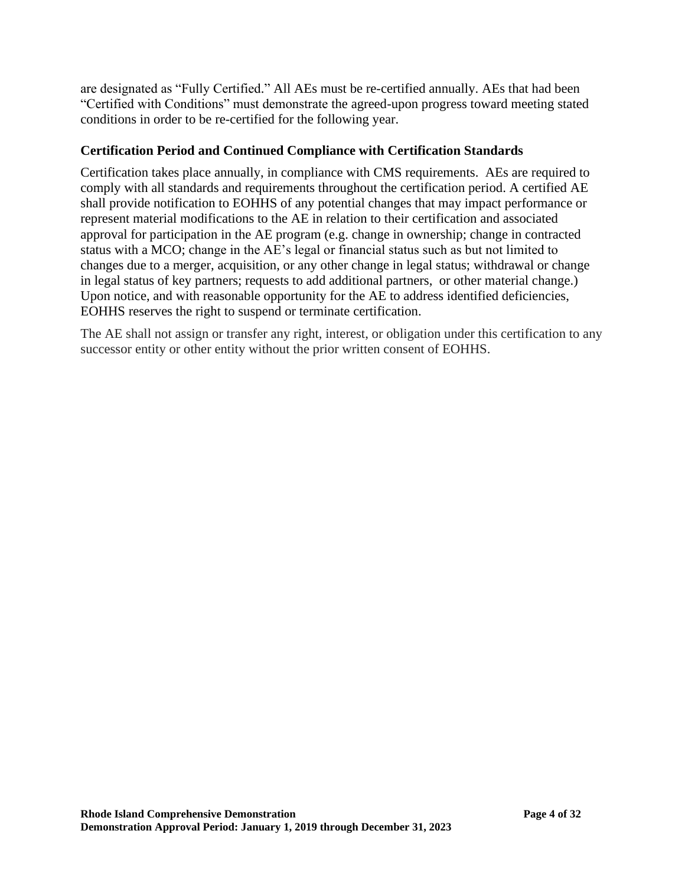are designated as "Fully Certified." All AEs must be re-certified annually. AEs that had been "Certified with Conditions" must demonstrate the agreed-upon progress toward meeting stated conditions in order to be re-certified for the following year.

# **Certification Period and Continued Compliance with Certification Standards**

Certification takes place annually, in compliance with CMS requirements. AEs are required to comply with all standards and requirements throughout the certification period. A certified AE shall provide notification to EOHHS of any potential changes that may impact performance or represent material modifications to the AE in relation to their certification and associated approval for participation in the AE program (e.g. change in ownership; change in contracted status with a MCO; change in the AE's legal or financial status such as but not limited to changes due to a merger, acquisition, or any other change in legal status; withdrawal or change in legal status of key partners; requests to add additional partners, or other material change.) Upon notice, and with reasonable opportunity for the AE to address identified deficiencies, EOHHS reserves the right to suspend or terminate certification.

The AE shall not assign or transfer any right, interest, or obligation under this certification to any successor entity or other entity without the prior written consent of EOHHS.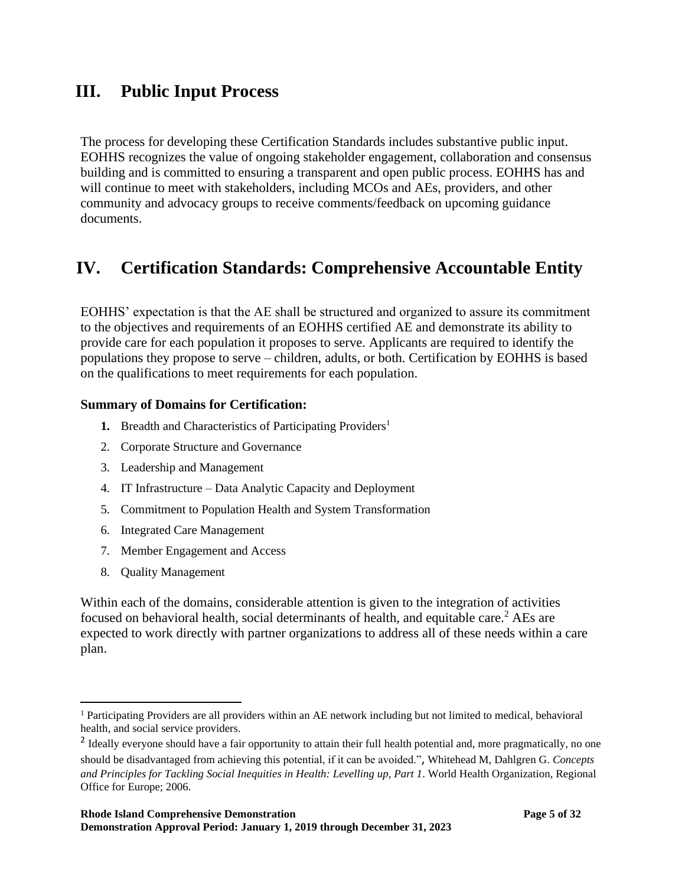# **III. Public Input Process**

The process for developing these Certification Standards includes substantive public input. EOHHS recognizes the value of ongoing stakeholder engagement, collaboration and consensus building and is committed to ensuring a transparent and open public process. EOHHS has and will continue to meet with stakeholders, including MCOs and AEs, providers, and other community and advocacy groups to receive comments/feedback on upcoming guidance documents.

# **IV. Certification Standards: Comprehensive Accountable Entity**

EOHHS' expectation is that the AE shall be structured and organized to assure its commitment to the objectives and requirements of an EOHHS certified AE and demonstrate its ability to provide care for each population it proposes to serve. Applicants are required to identify the populations they propose to serve – children, adults, or both. Certification by EOHHS is based on the qualifications to meet requirements for each population.

### **Summary of Domains for Certification:**

- **1.** Breadth and Characteristics of Participating Providers<sup>1</sup>
- 2. Corporate Structure and Governance
- 3. Leadership and Management
- 4. IT Infrastructure Data Analytic Capacity and Deployment
- 5. Commitment to Population Health and System Transformation
- 6. Integrated Care Management
- 7. Member Engagement and Access
- 8. Quality Management

Within each of the domains, considerable attention is given to the integration of activities focused on behavioral health, social determinants of health, and equitable care. <sup>2</sup> AEs are expected to work directly with partner organizations to address all of these needs within a care plan.

<sup>&</sup>lt;sup>1</sup> Participating Providers are all providers within an AE network including but not limited to medical, behavioral health, and social service providers.

<sup>&</sup>lt;sup>2</sup> Ideally everyone should have a fair opportunity to attain their full health potential and, more pragmatically, no one should be disadvantaged from achieving this potential, if it can be avoided.", Whitehead M, Dahlgren G. *Concepts and Principles for Tackling Social Inequities in Health: Levelling up, Part 1*. World Health Organization, Regional Office for Europe; 2006.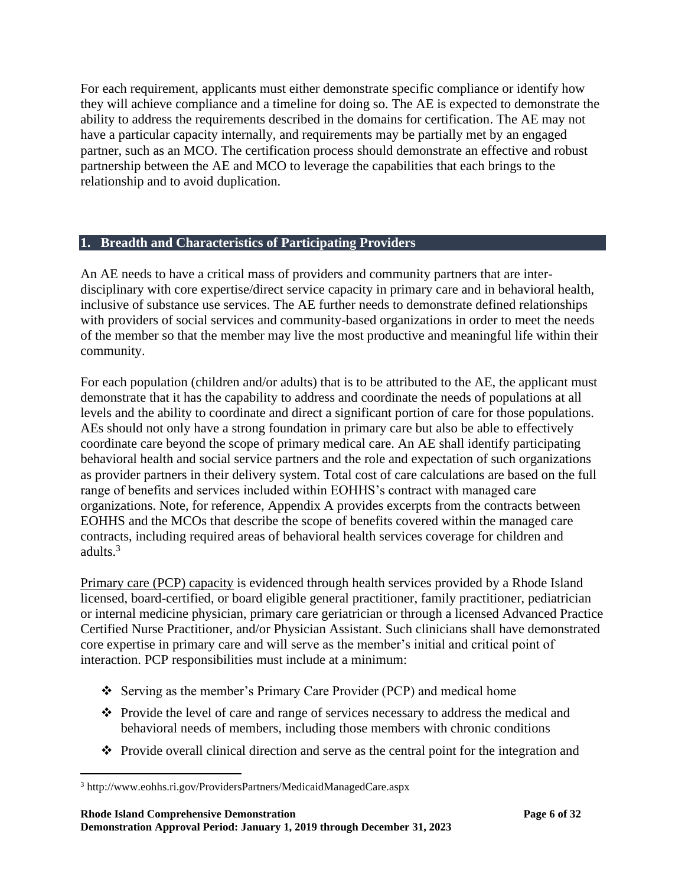For each requirement, applicants must either demonstrate specific compliance or identify how they will achieve compliance and a timeline for doing so. The AE is expected to demonstrate the ability to address the requirements described in the domains for certification. The AE may not have a particular capacity internally, and requirements may be partially met by an engaged partner, such as an MCO. The certification process should demonstrate an effective and robust partnership between the AE and MCO to leverage the capabilities that each brings to the relationship and to avoid duplication.

### **1. Breadth and Characteristics of Participating Providers**

An AE needs to have a critical mass of providers and community partners that are interdisciplinary with core expertise/direct service capacity in primary care and in behavioral health, inclusive of substance use services. The AE further needs to demonstrate defined relationships with providers of social services and community-based organizations in order to meet the needs of the member so that the member may live the most productive and meaningful life within their community.

For each population (children and/or adults) that is to be attributed to the AE, the applicant must demonstrate that it has the capability to address and coordinate the needs of populations at all levels and the ability to coordinate and direct a significant portion of care for those populations. AEs should not only have a strong foundation in primary care but also be able to effectively coordinate care beyond the scope of primary medical care. An AE shall identify participating behavioral health and social service partners and the role and expectation of such organizations as provider partners in their delivery system. Total cost of care calculations are based on the full range of benefits and services included within EOHHS's contract with managed care organizations. Note, for reference, Appendix A provides excerpts from the contracts between EOHHS and the MCOs that describe the scope of benefits covered within the managed care contracts, including required areas of behavioral health services coverage for children and adults.<sup>3</sup>

Primary care (PCP) capacity is evidenced through health services provided by a Rhode Island licensed, board-certified, or board eligible general practitioner, family practitioner, pediatrician or internal medicine physician, primary care geriatrician or through a licensed Advanced Practice Certified Nurse Practitioner, and/or Physician Assistant. Such clinicians shall have demonstrated core expertise in primary care and will serve as the member's initial and critical point of interaction. PCP responsibilities must include at a minimum:

- ❖ Serving as the member's Primary Care Provider (PCP) and medical home
- ❖ Provide the level of care and range of services necessary to address the medical and behavioral needs of members, including those members with chronic conditions
- ❖ Provide overall clinical direction and serve as the central point for the integration and

<sup>3</sup> http://www.eohhs.ri.gov/ProvidersPartners/MedicaidManagedCare.aspx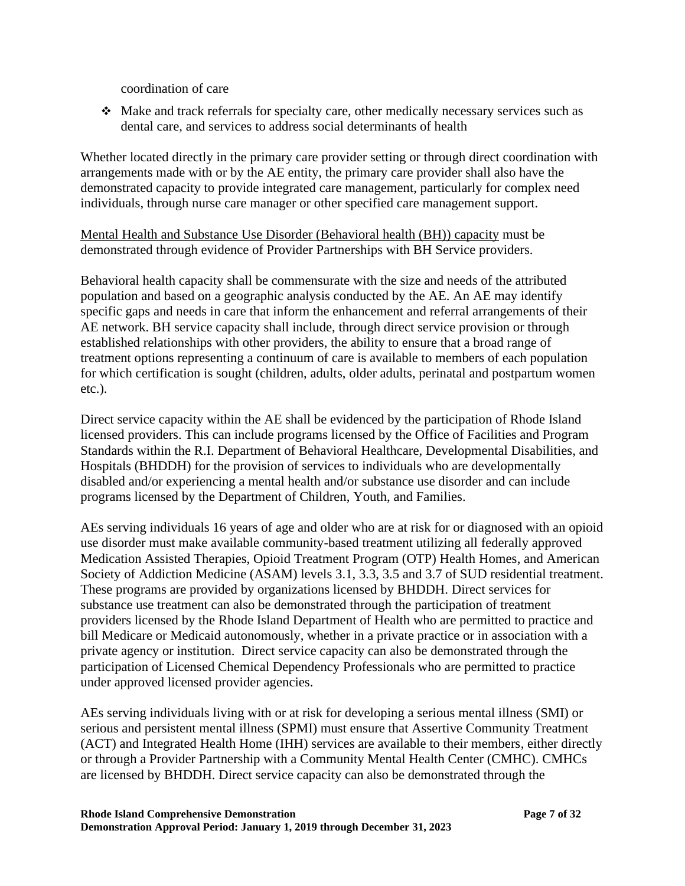coordination of care

❖ Make and track referrals for specialty care, other medically necessary services such as dental care, and services to address social determinants of health

Whether located directly in the primary care provider setting or through direct coordination with arrangements made with or by the AE entity, the primary care provider shall also have the demonstrated capacity to provide integrated care management, particularly for complex need individuals, through nurse care manager or other specified care management support.

Mental Health and Substance Use Disorder (Behavioral health (BH)) capacity must be demonstrated through evidence of Provider Partnerships with BH Service providers.

Behavioral health capacity shall be commensurate with the size and needs of the attributed population and based on a geographic analysis conducted by the AE. An AE may identify specific gaps and needs in care that inform the enhancement and referral arrangements of their AE network. BH service capacity shall include, through direct service provision or through established relationships with other providers, the ability to ensure that a broad range of treatment options representing a continuum of care is available to members of each population for which certification is sought (children, adults, older adults, perinatal and postpartum women etc.).

Direct service capacity within the AE shall be evidenced by the participation of Rhode Island licensed providers. This can include programs licensed by the Office of Facilities and Program Standards within the R.I. Department of Behavioral Healthcare, Developmental Disabilities, and Hospitals (BHDDH) for the provision of services to individuals who are developmentally disabled and/or experiencing a mental health and/or substance use disorder and can include programs licensed by the Department of Children, Youth, and Families.

AEs serving individuals 16 years of age and older who are at risk for or diagnosed with an opioid use disorder must make available community-based treatment utilizing all federally approved Medication Assisted Therapies, Opioid Treatment Program (OTP) Health Homes, and American Society of Addiction Medicine (ASAM) levels 3.1, 3.3, 3.5 and 3.7 of SUD residential treatment. These programs are provided by organizations licensed by BHDDH. Direct services for substance use treatment can also be demonstrated through the participation of treatment providers licensed by the Rhode Island Department of Health who are permitted to practice and bill Medicare or Medicaid autonomously, whether in a private practice or in association with a private agency or institution. Direct service capacity can also be demonstrated through the participation of Licensed Chemical Dependency Professionals who are permitted to practice under approved licensed provider agencies.

AEs serving individuals living with or at risk for developing a serious mental illness (SMI) or serious and persistent mental illness (SPMI) must ensure that Assertive Community Treatment (ACT) and Integrated Health Home (IHH) services are available to their members, either directly or through a Provider Partnership with a Community Mental Health Center (CMHC). CMHCs are licensed by BHDDH. Direct service capacity can also be demonstrated through the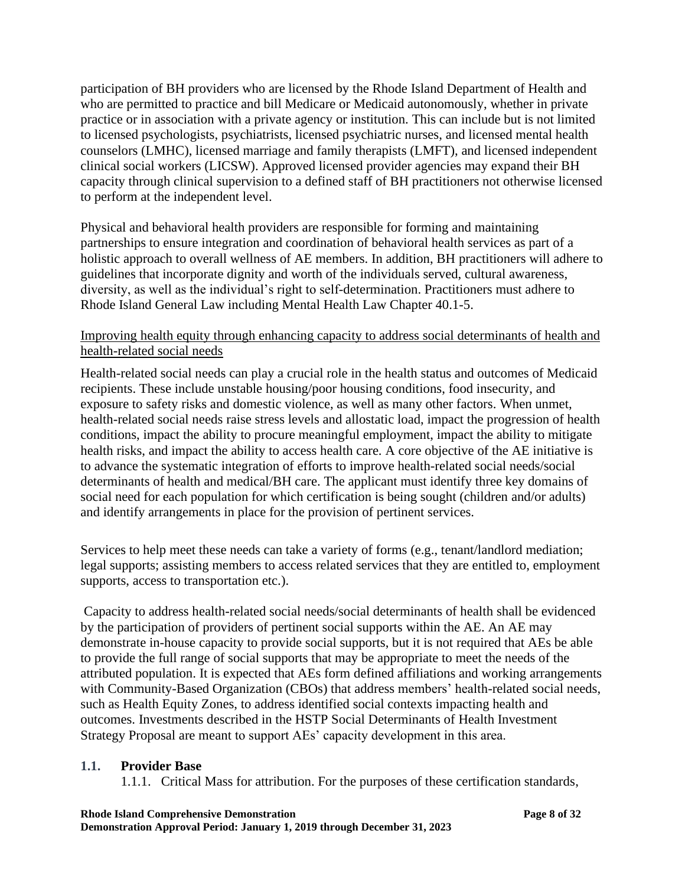participation of BH providers who are licensed by the Rhode Island Department of Health and who are permitted to practice and bill Medicare or Medicaid autonomously, whether in private practice or in association with a private agency or institution. This can include but is not limited to licensed psychologists, psychiatrists, licensed psychiatric nurses, and licensed mental health counselors (LMHC), licensed marriage and family therapists (LMFT), and licensed independent clinical social workers (LICSW). Approved licensed provider agencies may expand their BH capacity through clinical supervision to a defined staff of BH practitioners not otherwise licensed to perform at the independent level.

Physical and behavioral health providers are responsible for forming and maintaining partnerships to ensure integration and coordination of behavioral health services as part of a holistic approach to overall wellness of AE members. In addition, BH practitioners will adhere to guidelines that incorporate dignity and worth of the individuals served, cultural awareness, diversity, as well as the individual's right to self-determination. Practitioners must adhere to Rhode Island General Law including Mental Health Law Chapter 40.1-5.

# Improving health equity through enhancing capacity to address social determinants of health and health-related social needs

Health-related social needs can play a crucial role in the health status and outcomes of Medicaid recipients. These include unstable housing/poor housing conditions, food insecurity, and exposure to safety risks and domestic violence, as well as many other factors. When unmet, health-related social needs raise stress levels and allostatic load, impact the progression of health conditions, impact the ability to procure meaningful employment, impact the ability to mitigate health risks, and impact the ability to access health care. A core objective of the AE initiative is to advance the systematic integration of efforts to improve health-related social needs/social determinants of health and medical/BH care. The applicant must identify three key domains of social need for each population for which certification is being sought (children and/or adults) and identify arrangements in place for the provision of pertinent services.

Services to help meet these needs can take a variety of forms (e.g., tenant/landlord mediation; legal supports; assisting members to access related services that they are entitled to, employment supports, access to transportation etc.).

Capacity to address health-related social needs/social determinants of health shall be evidenced by the participation of providers of pertinent social supports within the AE. An AE may demonstrate in-house capacity to provide social supports, but it is not required that AEs be able to provide the full range of social supports that may be appropriate to meet the needs of the attributed population. It is expected that AEs form defined affiliations and working arrangements with Community-Based Organization (CBOs) that address members' health-related social needs, such as Health Equity Zones, to address identified social contexts impacting health and outcomes. Investments described in the HSTP Social Determinants of Health Investment Strategy Proposal are meant to support AEs' capacity development in this area.

#### **1.1. Provider Base**

1.1.1. Critical Mass for attribution. For the purposes of these certification standards,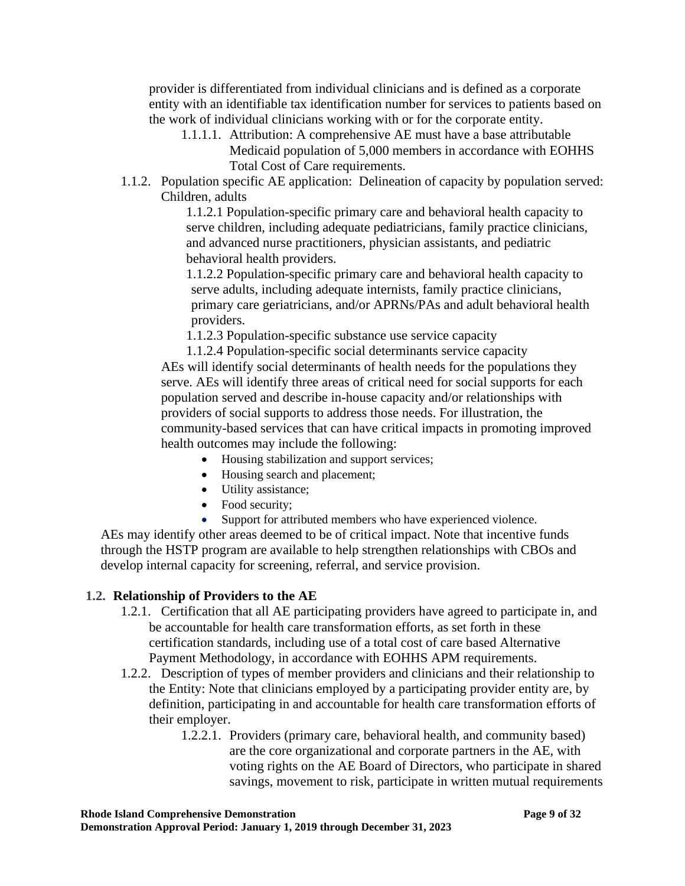provider is differentiated from individual clinicians and is defined as a corporate entity with an identifiable tax identification number for services to patients based on the work of individual clinicians working with or for the corporate entity.

- 1.1.1.1. Attribution: A comprehensive AE must have a base attributable
	- Medicaid population of 5,000 members in accordance with EOHHS Total Cost of Care requirements.
- 1.1.2. Population specific AE application: Delineation of capacity by population served: Children, adults

1.1.2.1 Population-specific primary care and behavioral health capacity to serve children, including adequate pediatricians, family practice clinicians, and advanced nurse practitioners, physician assistants, and pediatric behavioral health providers.

1.1.2.2 Population-specific primary care and behavioral health capacity to serve adults, including adequate internists, family practice clinicians, primary care geriatricians, and/or APRNs/PAs and adult behavioral health providers.

1.1.2.3 Population-specific substance use service capacity

1.1.2.4 Population-specific social determinants service capacity AEs will identify social determinants of health needs for the populations they serve. AEs will identify three areas of critical need for social supports for each population served and describe in-house capacity and/or relationships with providers of social supports to address those needs. For illustration, the community-based services that can have critical impacts in promoting improved health outcomes may include the following:

- Housing stabilization and support services;
- Housing search and placement;
- Utility assistance;
- Food security;
- Support for attributed members who have experienced violence.

AEs may identify other areas deemed to be of critical impact. Note that incentive funds through the HSTP program are available to help strengthen relationships with CBOs and develop internal capacity for screening, referral, and service provision.

# **1.2. Relationship of Providers to the AE**

- 1.2.1. Certification that all AE participating providers have agreed to participate in, and be accountable for health care transformation efforts, as set forth in these certification standards, including use of a total cost of care based Alternative Payment Methodology, in accordance with EOHHS APM requirements.
- 1.2.2. Description of types of member providers and clinicians and their relationship to the Entity: Note that clinicians employed by a participating provider entity are, by definition, participating in and accountable for health care transformation efforts of their employer.
	- 1.2.2.1. Providers (primary care, behavioral health, and community based) are the core organizational and corporate partners in the AE, with voting rights on the AE Board of Directors, who participate in shared savings, movement to risk, participate in written mutual requirements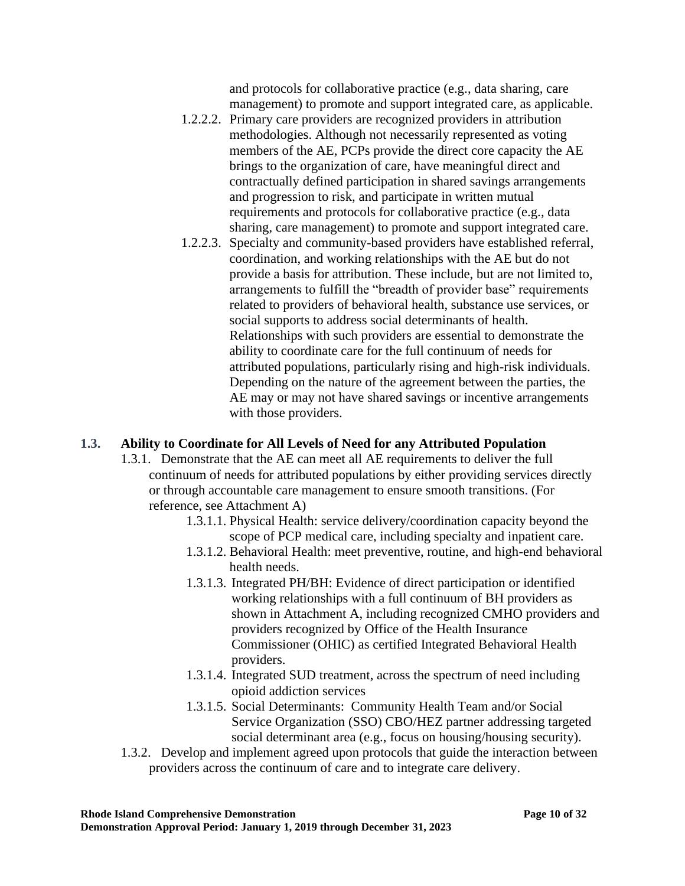and protocols for collaborative practice (e.g., data sharing, care management) to promote and support integrated care, as applicable.

- 1.2.2.2. Primary care providers are recognized providers in attribution methodologies. Although not necessarily represented as voting members of the AE, PCPs provide the direct core capacity the AE brings to the organization of care, have meaningful direct and contractually defined participation in shared savings arrangements and progression to risk, and participate in written mutual requirements and protocols for collaborative practice (e.g., data sharing, care management) to promote and support integrated care.
- 1.2.2.3. Specialty and community-based providers have established referral, coordination, and working relationships with the AE but do not provide a basis for attribution. These include, but are not limited to, arrangements to fulfill the "breadth of provider base" requirements related to providers of behavioral health, substance use services, or social supports to address social determinants of health. Relationships with such providers are essential to demonstrate the ability to coordinate care for the full continuum of needs for attributed populations, particularly rising and high-risk individuals. Depending on the nature of the agreement between the parties, the AE may or may not have shared savings or incentive arrangements with those providers.

# **1.3. Ability to Coordinate for All Levels of Need for any Attributed Population**

- 1.3.1. Demonstrate that the AE can meet all AE requirements to deliver the full continuum of needs for attributed populations by either providing services directly or through accountable care management to ensure smooth transitions. (For reference, see Attachment A)
	- 1.3.1.1. Physical Health: service delivery/coordination capacity beyond the scope of PCP medical care, including specialty and inpatient care.
	- 1.3.1.2. Behavioral Health: meet preventive, routine, and high-end behavioral health needs.
	- 1.3.1.3. Integrated PH/BH: Evidence of direct participation or identified working relationships with a full continuum of BH providers as shown in Attachment A, including recognized CMHO providers and providers recognized by Office of the Health Insurance Commissioner (OHIC) as certified Integrated Behavioral Health providers.
	- 1.3.1.4. Integrated SUD treatment, across the spectrum of need including opioid addiction services
	- 1.3.1.5. Social Determinants: Community Health Team and/or Social Service Organization (SSO) CBO/HEZ partner addressing targeted social determinant area (e.g., focus on housing/housing security).
- 1.3.2. Develop and implement agreed upon protocols that guide the interaction between providers across the continuum of care and to integrate care delivery.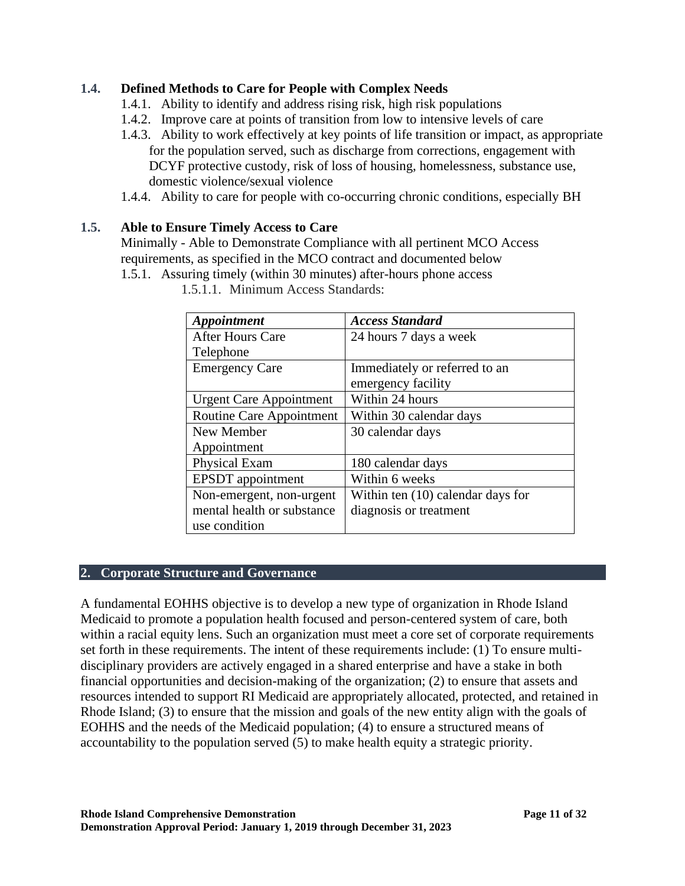# **1.4. Defined Methods to Care for People with Complex Needs**

- 1.4.1. Ability to identify and address rising risk, high risk populations
- 1.4.2. Improve care at points of transition from low to intensive levels of care
- 1.4.3. Ability to work effectively at key points of life transition or impact, as appropriate for the population served, such as discharge from corrections, engagement with DCYF protective custody, risk of loss of housing, homelessness, substance use, domestic violence/sexual violence
- 1.4.4. Ability to care for people with co-occurring chronic conditions, especially BH

# **1.5. Able to Ensure Timely Access to Care**

Minimally - Able to Demonstrate Compliance with all pertinent MCO Access requirements, as specified in the MCO contract and documented below

1.5.1. Assuring timely (within 30 minutes) after-hours phone access

| Appointment                     | <b>Access Standard</b>            |
|---------------------------------|-----------------------------------|
| <b>After Hours Care</b>         | 24 hours 7 days a week            |
| Telephone                       |                                   |
| <b>Emergency Care</b>           | Immediately or referred to an     |
|                                 | emergency facility                |
| <b>Urgent Care Appointment</b>  | Within 24 hours                   |
| <b>Routine Care Appointment</b> | Within 30 calendar days           |
| New Member                      | 30 calendar days                  |
| Appointment                     |                                   |
| Physical Exam                   | 180 calendar days                 |
| <b>EPSDT</b> appointment        | Within 6 weeks                    |
| Non-emergent, non-urgent        | Within ten (10) calendar days for |
| mental health or substance      | diagnosis or treatment            |
| use condition                   |                                   |

1.5.1.1. Minimum Access Standards:

# **2. Corporate Structure and Governance**

A fundamental EOHHS objective is to develop a new type of organization in Rhode Island Medicaid to promote a population health focused and person-centered system of care, both within a racial equity lens. Such an organization must meet a core set of corporate requirements set forth in these requirements. The intent of these requirements include: (1) To ensure multidisciplinary providers are actively engaged in a shared enterprise and have a stake in both financial opportunities and decision-making of the organization; (2) to ensure that assets and resources intended to support RI Medicaid are appropriately allocated, protected, and retained in Rhode Island; (3) to ensure that the mission and goals of the new entity align with the goals of EOHHS and the needs of the Medicaid population; (4) to ensure a structured means of accountability to the population served (5) to make health equity a strategic priority.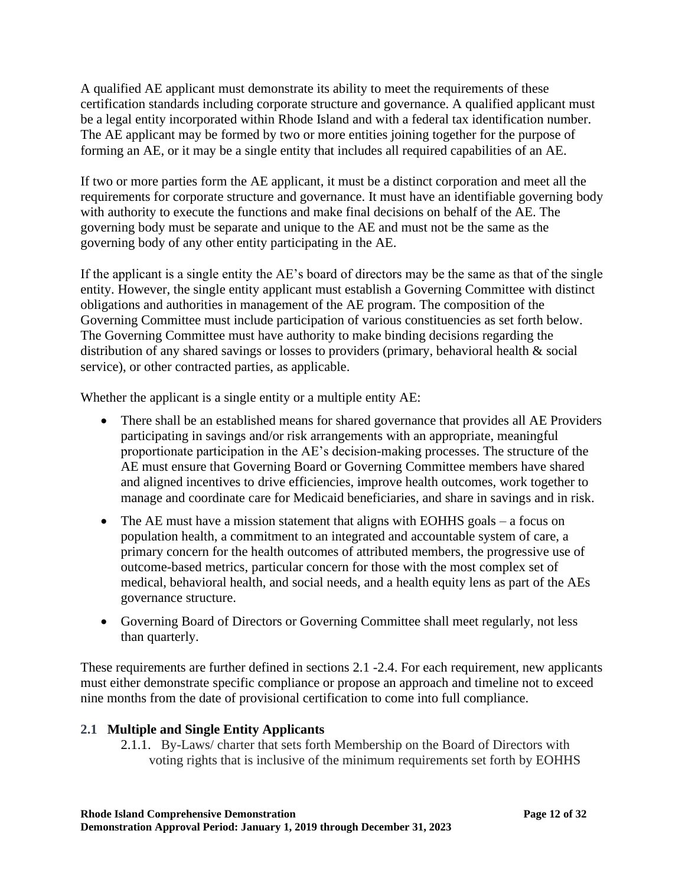A qualified AE applicant must demonstrate its ability to meet the requirements of these certification standards including corporate structure and governance. A qualified applicant must be a legal entity incorporated within Rhode Island and with a federal tax identification number. The AE applicant may be formed by two or more entities joining together for the purpose of forming an AE, or it may be a single entity that includes all required capabilities of an AE.

If two or more parties form the AE applicant, it must be a distinct corporation and meet all the requirements for corporate structure and governance. It must have an identifiable governing body with authority to execute the functions and make final decisions on behalf of the AE. The governing body must be separate and unique to the AE and must not be the same as the governing body of any other entity participating in the AE.

If the applicant is a single entity the AE's board of directors may be the same as that of the single entity. However, the single entity applicant must establish a Governing Committee with distinct obligations and authorities in management of the AE program. The composition of the Governing Committee must include participation of various constituencies as set forth below. The Governing Committee must have authority to make binding decisions regarding the distribution of any shared savings or losses to providers (primary, behavioral health & social service), or other contracted parties, as applicable.

Whether the applicant is a single entity or a multiple entity AE:

- There shall be an established means for shared governance that provides all AE Providers participating in savings and/or risk arrangements with an appropriate, meaningful proportionate participation in the AE's decision-making processes. The structure of the AE must ensure that Governing Board or Governing Committee members have shared and aligned incentives to drive efficiencies, improve health outcomes, work together to manage and coordinate care for Medicaid beneficiaries, and share in savings and in risk.
- The AE must have a mission statement that aligns with EOHHS goals a focus on population health, a commitment to an integrated and accountable system of care, a primary concern for the health outcomes of attributed members, the progressive use of outcome-based metrics, particular concern for those with the most complex set of medical, behavioral health, and social needs, and a health equity lens as part of the AEs governance structure.
- Governing Board of Directors or Governing Committee shall meet regularly, not less than quarterly.

These requirements are further defined in sections 2.1 -2.4. For each requirement, new applicants must either demonstrate specific compliance or propose an approach and timeline not to exceed nine months from the date of provisional certification to come into full compliance.

# **2.1 Multiple and Single Entity Applicants**

2.1.1. By-Laws/ charter that sets forth Membership on the Board of Directors with voting rights that is inclusive of the minimum requirements set forth by EOHHS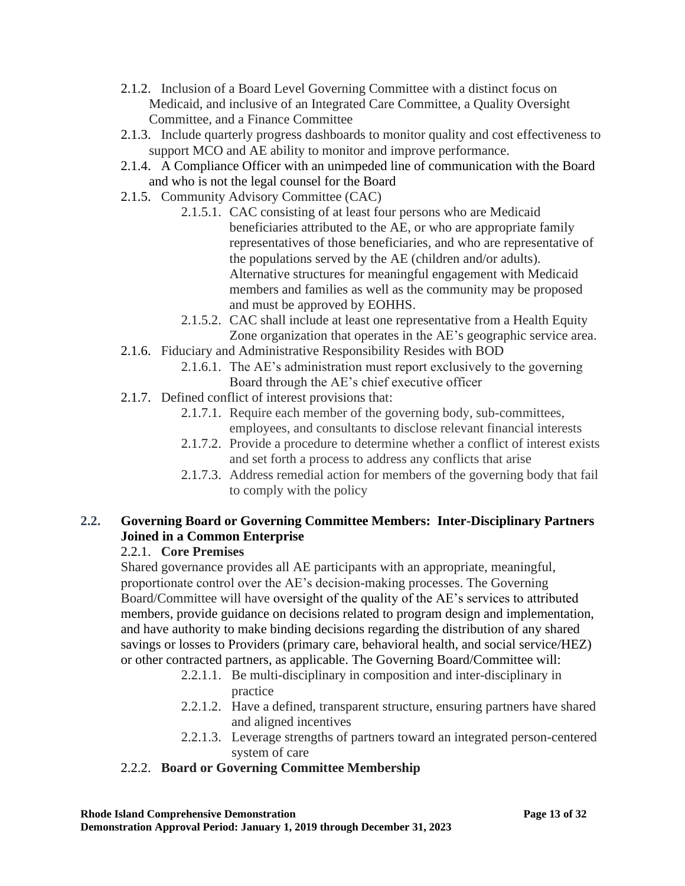- 2.1.2. Inclusion of a Board Level Governing Committee with a distinct focus on Medicaid, and inclusive of an Integrated Care Committee, a Quality Oversight Committee, and a Finance Committee
- 2.1.3. Include quarterly progress dashboards to monitor quality and cost effectiveness to support MCO and AE ability to monitor and improve performance.
- 2.1.4. A Compliance Officer with an unimpeded line of communication with the Board and who is not the legal counsel for the Board
- 2.1.5. Community Advisory Committee (CAC)
	- 2.1.5.1. CAC consisting of at least four persons who are Medicaid beneficiaries attributed to the AE, or who are appropriate family representatives of those beneficiaries, and who are representative of the populations served by the AE (children and/or adults). Alternative structures for meaningful engagement with Medicaid members and families as well as the community may be proposed and must be approved by EOHHS.
	- 2.1.5.2. CAC shall include at least one representative from a Health Equity Zone organization that operates in the AE's geographic service area.
- 2.1.6. Fiduciary and Administrative Responsibility Resides with BOD
	- 2.1.6.1. The AE's administration must report exclusively to the governing Board through the AE's chief executive officer
- 2.1.7. Defined conflict of interest provisions that:
	- 2.1.7.1. Require each member of the governing body, sub-committees, employees, and consultants to disclose relevant financial interests
	- 2.1.7.2. Provide a procedure to determine whether a conflict of interest exists and set forth a process to address any conflicts that arise
	- 2.1.7.3. Address remedial action for members of the governing body that fail to comply with the policy

# **2.2. Governing Board or Governing Committee Members: Inter-Disciplinary Partners Joined in a Common Enterprise**

# 2.2.1. **Core Premises**

Shared governance provides all AE participants with an appropriate, meaningful, proportionate control over the AE's decision-making processes. The Governing Board/Committee will have oversight of the quality of the AE's services to attributed members, provide guidance on decisions related to program design and implementation, and have authority to make binding decisions regarding the distribution of any shared savings or losses to Providers (primary care, behavioral health, and social service/HEZ) or other contracted partners, as applicable. The Governing Board/Committee will:

- 2.2.1.1. Be multi-disciplinary in composition and inter-disciplinary in practice
- 2.2.1.2. Have a defined, transparent structure, ensuring partners have shared and aligned incentives
- 2.2.1.3. Leverage strengths of partners toward an integrated person-centered system of care

# 2.2.2. **Board or Governing Committee Membership**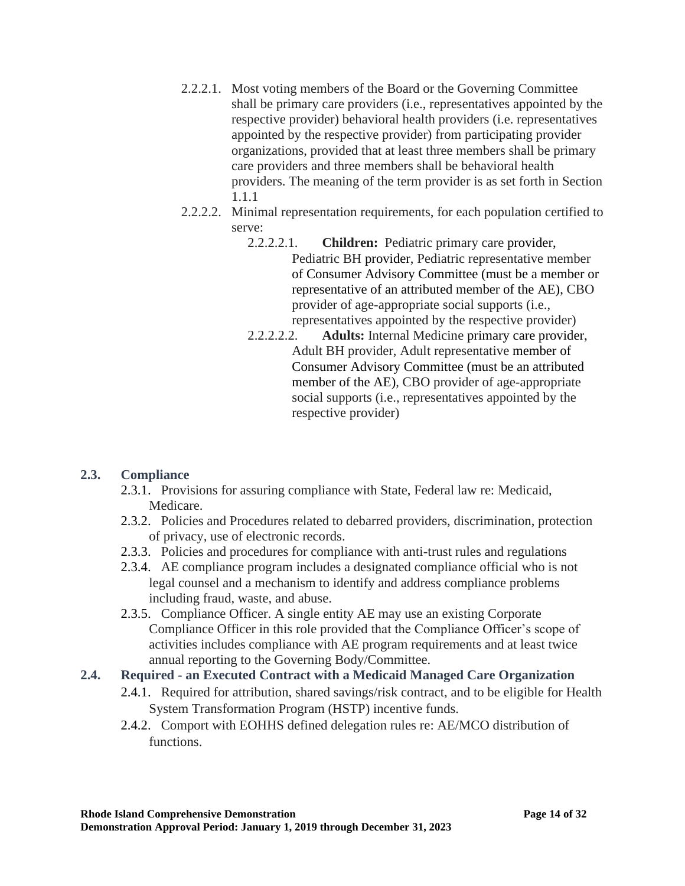- 2.2.2.1. Most voting members of the Board or the Governing Committee shall be primary care providers (i.e., representatives appointed by the respective provider) behavioral health providers (i.e. representatives appointed by the respective provider) from participating provider organizations, provided that at least three members shall be primary care providers and three members shall be behavioral health providers. The meaning of the term provider is as set forth in Section 1.1.1
- 2.2.2.2. Minimal representation requirements, for each population certified to serve:
	- 2.2.2.2.1. **Children:** Pediatric primary care provider, Pediatric BH provider, Pediatric representative member of Consumer Advisory Committee (must be a member or representative of an attributed member of the AE), CBO provider of age-appropriate social supports (i.e., representatives appointed by the respective provider)
	- 2.2.2.2.2. **Adults:** Internal Medicine primary care provider, Adult BH provider, Adult representative member of Consumer Advisory Committee (must be an attributed member of the AE), CBO provider of age-appropriate social supports (i.e., representatives appointed by the respective provider)

# **2.3. Compliance**

- 2.3.1. Provisions for assuring compliance with State, Federal law re: Medicaid, Medicare.
- 2.3.2. Policies and Procedures related to debarred providers, discrimination, protection of privacy, use of electronic records.
- 2.3.3. Policies and procedures for compliance with anti-trust rules and regulations
- 2.3.4. AE compliance program includes a designated compliance official who is not legal counsel and a mechanism to identify and address compliance problems including fraud, waste, and abuse.
- 2.3.5. Compliance Officer. A single entity AE may use an existing Corporate Compliance Officer in this role provided that the Compliance Officer's scope of activities includes compliance with AE program requirements and at least twice annual reporting to the Governing Body/Committee.

# **2.4. Required - an Executed Contract with a Medicaid Managed Care Organization**

- 2.4.1. Required for attribution, shared savings/risk contract, and to be eligible for Health System Transformation Program (HSTP) incentive funds.
- 2.4.2. Comport with EOHHS defined delegation rules re: AE/MCO distribution of functions.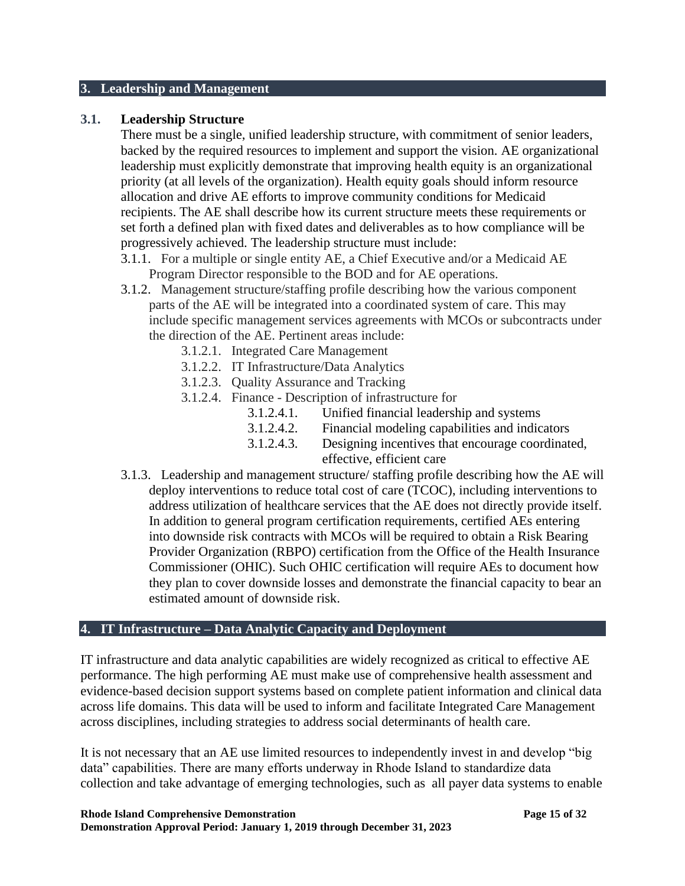#### **3. Leadership and Management**

#### **3.1. Leadership Structure**

There must be a single, unified leadership structure, with commitment of senior leaders, backed by the required resources to implement and support the vision. AE organizational leadership must explicitly demonstrate that improving health equity is an organizational priority (at all levels of the organization). Health equity goals should inform resource allocation and drive AE efforts to improve community conditions for Medicaid recipients. The AE shall describe how its current structure meets these requirements or set forth a defined plan with fixed dates and deliverables as to how compliance will be progressively achieved. The leadership structure must include:

- 3.1.1. For a multiple or single entity AE, a Chief Executive and/or a Medicaid AE Program Director responsible to the BOD and for AE operations.
- 3.1.2. Management structure/staffing profile describing how the various component parts of the AE will be integrated into a coordinated system of care. This may include specific management services agreements with MCOs or subcontracts under the direction of the AE. Pertinent areas include:
	- 3.1.2.1. Integrated Care Management
	- 3.1.2.2. IT Infrastructure/Data Analytics
	- 3.1.2.3. Quality Assurance and Tracking
	- 3.1.2.4. Finance Description of infrastructure for
		- 3.1.2.4.1. Unified financial leadership and systems
		- 3.1.2.4.2. Financial modeling capabilities and indicators
		- 3.1.2.4.3. Designing incentives that encourage coordinated,
			- effective, efficient care
- 3.1.3. Leadership and management structure/ staffing profile describing how the AE will deploy interventions to reduce total cost of care (TCOC), including interventions to address utilization of healthcare services that the AE does not directly provide itself. In addition to general program certification requirements, certified AEs entering into downside risk contracts with MCOs will be required to obtain a Risk Bearing Provider Organization (RBPO) certification from the Office of the Health Insurance Commissioner (OHIC). Such OHIC certification will require AEs to document how they plan to cover downside losses and demonstrate the financial capacity to bear an estimated amount of downside risk.

#### **4. IT Infrastructure – Data Analytic Capacity and Deployment**

IT infrastructure and data analytic capabilities are widely recognized as critical to effective AE performance. The high performing AE must make use of comprehensive health assessment and evidence-based decision support systems based on complete patient information and clinical data across life domains. This data will be used to inform and facilitate Integrated Care Management across disciplines, including strategies to address social determinants of health care.

It is not necessary that an AE use limited resources to independently invest in and develop "big data" capabilities. There are many efforts underway in Rhode Island to standardize data collection and take advantage of emerging technologies, such as all payer data systems to enable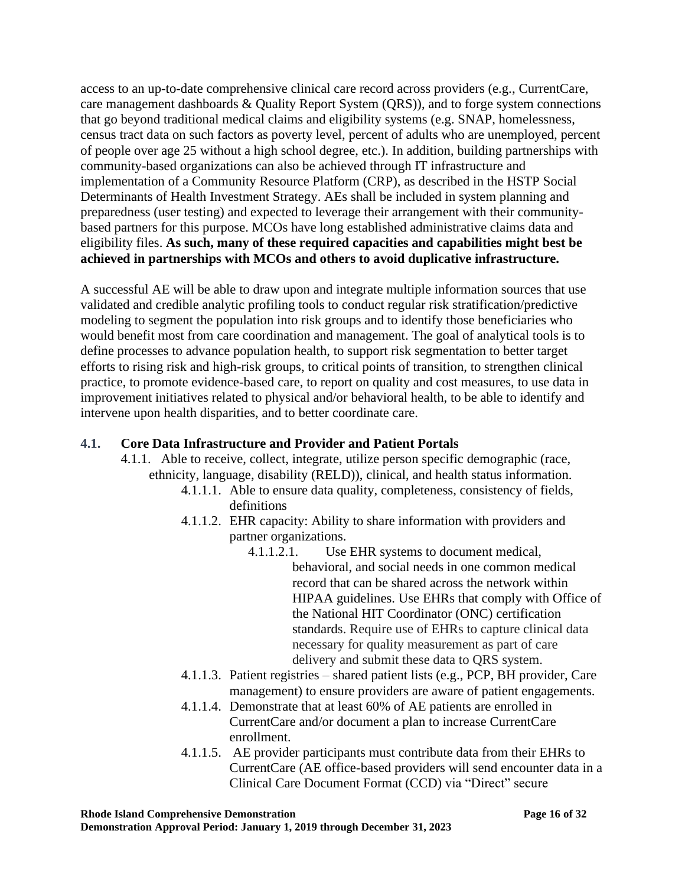access to an up-to-date comprehensive clinical care record across providers (e.g., CurrentCare, care management dashboards & Quality Report System (QRS)), and to forge system connections that go beyond traditional medical claims and eligibility systems (e.g. SNAP, homelessness, census tract data on such factors as poverty level, percent of adults who are unemployed, percent of people over age 25 without a high school degree, etc.). In addition, building partnerships with community-based organizations can also be achieved through IT infrastructure and implementation of a Community Resource Platform (CRP), as described in the HSTP Social Determinants of Health Investment Strategy. AEs shall be included in system planning and preparedness (user testing) and expected to leverage their arrangement with their communitybased partners for this purpose. MCOs have long established administrative claims data and eligibility files. **As such, many of these required capacities and capabilities might best be achieved in partnerships with MCOs and others to avoid duplicative infrastructure.**

A successful AE will be able to draw upon and integrate multiple information sources that use validated and credible analytic profiling tools to conduct regular risk stratification/predictive modeling to segment the population into risk groups and to identify those beneficiaries who would benefit most from care coordination and management. The goal of analytical tools is to define processes to advance population health, to support risk segmentation to better target efforts to rising risk and high-risk groups, to critical points of transition, to strengthen clinical practice, to promote evidence-based care, to report on quality and cost measures, to use data in improvement initiatives related to physical and/or behavioral health, to be able to identify and intervene upon health disparities, and to better coordinate care.

### **4.1. Core Data Infrastructure and Provider and Patient Portals**

- 4.1.1. Able to receive, collect, integrate, utilize person specific demographic (race, ethnicity, language, disability (RELD)), clinical, and health status information.
	- 4.1.1.1. Able to ensure data quality, completeness, consistency of fields, definitions
	- 4.1.1.2. EHR capacity: Ability to share information with providers and partner organizations.
		- 4.1.1.2.1. Use EHR systems to document medical, behavioral, and social needs in one common medical record that can be shared across the network within HIPAA guidelines. Use EHRs that comply with Office of the National HIT Coordinator (ONC) certification standards. Require use of EHRs to capture clinical data necessary for quality measurement as part of care delivery and submit these data to QRS system.
	- 4.1.1.3. Patient registries shared patient lists (e.g., PCP, BH provider, Care management) to ensure providers are aware of patient engagements.
	- 4.1.1.4. Demonstrate that at least 60% of AE patients are enrolled in CurrentCare and/or document a plan to increase CurrentCare enrollment.
	- 4.1.1.5. AE provider participants must contribute data from their EHRs to CurrentCare (AE office-based providers will send encounter data in a Clinical Care Document Format (CCD) via "Direct" secure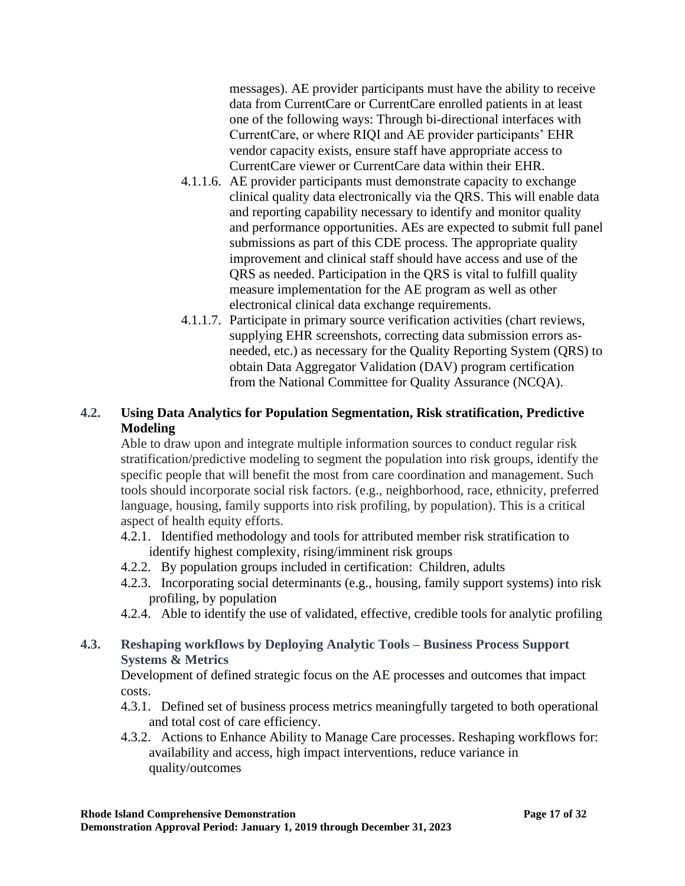messages). AE provider participants must have the ability to receive data from CurrentCare or CurrentCare enrolled patients in at least one of the following ways: Through bi-directional interfaces with CurrentCare, or where RIQI and AE provider participants' EHR vendor capacity exists, ensure staff have appropriate access to CurrentCare viewer or CurrentCare data within their EHR.

- 4.1.1.6. AE provider participants must demonstrate capacity to exchange clinical quality data electronically via the QRS. This will enable data and reporting capability necessary to identify and monitor quality and performance opportunities. AEs are expected to submit full panel submissions as part of this CDE process. The appropriate quality improvement and clinical staff should have access and use of the QRS as needed. Participation in the QRS is vital to fulfill quality measure implementation for the AE program as well as other electronical clinical data exchange requirements.
- 4.1.1.7. Participate in primary source verification activities (chart reviews, supplying EHR screenshots, correcting data submission errors asneeded, etc.) as necessary for the Quality Reporting System (QRS) to obtain Data Aggregator Validation (DAV) program certification from the National Committee for Quality Assurance (NCQA).

# **4.2. Using Data Analytics for Population Segmentation, Risk stratification, Predictive Modeling**

Able to draw upon and integrate multiple information sources to conduct regular risk stratification/predictive modeling to segment the population into risk groups, identify the specific people that will benefit the most from care coordination and management. Such tools should incorporate social risk factors. (e.g., neighborhood, race, ethnicity, preferred language, housing, family supports into risk profiling, by population). This is a critical aspect of health equity efforts.

- 4.2.1. Identified methodology and tools for attributed member risk stratification to identify highest complexity, rising/imminent risk groups
- 4.2.2. By population groups included in certification: Children, adults
- 4.2.3. Incorporating social determinants (e.g., housing, family support systems) into risk profiling, by population
- 4.2.4. Able to identify the use of validated, effective, credible tools for analytic profiling

# **4.3. Reshaping workflows by Deploying Analytic Tools – Business Process Support Systems & Metrics**

Development of defined strategic focus on the AE processes and outcomes that impact costs.

- 4.3.1. Defined set of business process metrics meaningfully targeted to both operational and total cost of care efficiency.
- 4.3.2. Actions to Enhance Ability to Manage Care processes. Reshaping workflows for: availability and access, high impact interventions, reduce variance in quality/outcomes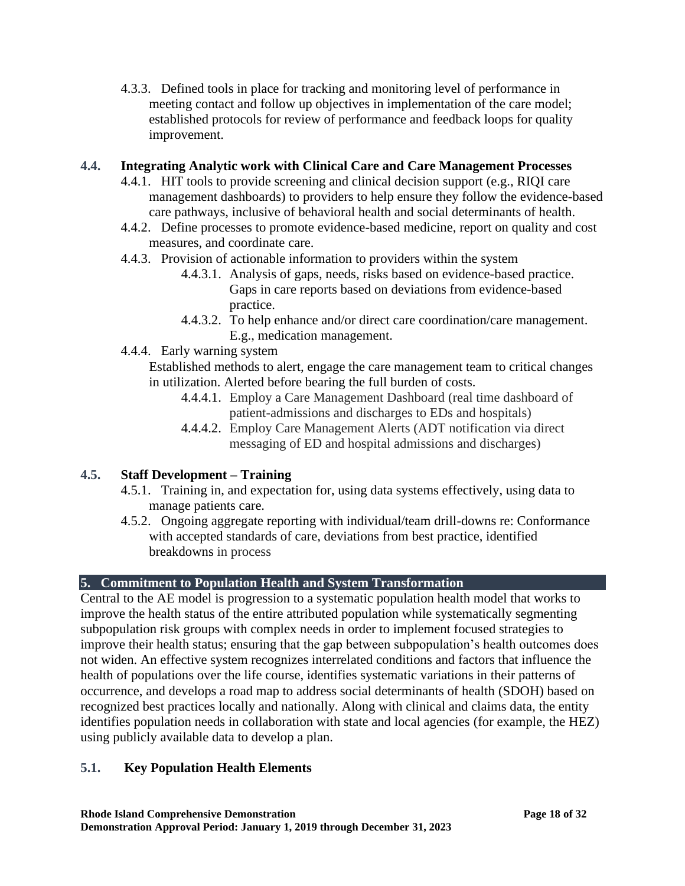4.3.3. Defined tools in place for tracking and monitoring level of performance in meeting contact and follow up objectives in implementation of the care model; established protocols for review of performance and feedback loops for quality improvement.

# **4.4. Integrating Analytic work with Clinical Care and Care Management Processes**

- 4.4.1. HIT tools to provide screening and clinical decision support (e.g., RIQI care management dashboards) to providers to help ensure they follow the evidence-based care pathways, inclusive of behavioral health and social determinants of health.
- 4.4.2. Define processes to promote evidence-based medicine, report on quality and cost measures, and coordinate care.
- 4.4.3. Provision of actionable information to providers within the system
	- 4.4.3.1. Analysis of gaps, needs, risks based on evidence-based practice. Gaps in care reports based on deviations from evidence-based practice.
	- 4.4.3.2. To help enhance and/or direct care coordination/care management. E.g., medication management.
- 4.4.4. Early warning system

Established methods to alert, engage the care management team to critical changes in utilization. Alerted before bearing the full burden of costs.

- 4.4.4.1. Employ a Care Management Dashboard (real time dashboard of patient-admissions and discharges to EDs and hospitals)
- 4.4.4.2. Employ Care Management Alerts (ADT notification via direct messaging of ED and hospital admissions and discharges)

# **4.5. Staff Development – Training**

- 4.5.1. Training in, and expectation for, using data systems effectively, using data to manage patients care.
- 4.5.2. Ongoing aggregate reporting with individual/team drill-downs re: Conformance with accepted standards of care, deviations from best practice, identified breakdowns in process

# **5. Commitment to Population Health and System Transformation**

Central to the AE model is progression to a systematic population health model that works to improve the health status of the entire attributed population while systematically segmenting subpopulation risk groups with complex needs in order to implement focused strategies to improve their health status; ensuring that the gap between subpopulation's health outcomes does not widen. An effective system recognizes interrelated conditions and factors that influence the health of populations over the life course, identifies systematic variations in their patterns of occurrence, and develops a road map to address social determinants of health (SDOH) based on recognized best practices locally and nationally. Along with clinical and claims data, the entity identifies population needs in collaboration with state and local agencies (for example, the HEZ) using publicly available data to develop a plan.

# **5.1. Key Population Health Elements**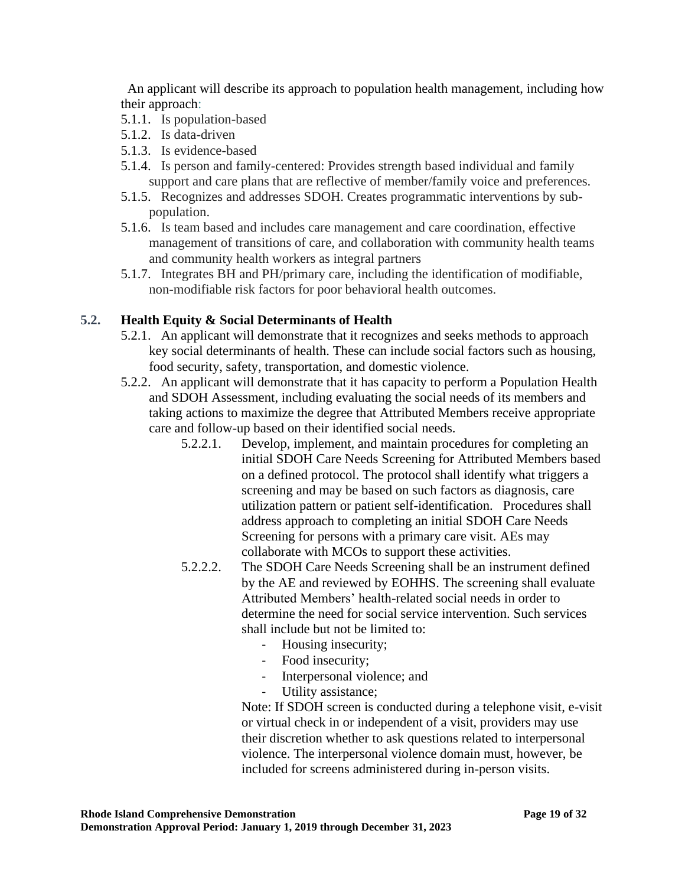An applicant will describe its approach to population health management, including how their approach:

- 5.1.1. Is population-based
- 5.1.2. Is data-driven
- 5.1.3. Is evidence-based
- 5.1.4. Is person and family-centered: Provides strength based individual and family support and care plans that are reflective of member/family voice and preferences.
- 5.1.5. Recognizes and addresses SDOH. Creates programmatic interventions by subpopulation.
- 5.1.6. Is team based and includes care management and care coordination, effective management of transitions of care, and collaboration with community health teams and community health workers as integral partners
- 5.1.7. Integrates BH and PH/primary care, including the identification of modifiable, non-modifiable risk factors for poor behavioral health outcomes.

# **5.2. Health Equity & Social Determinants of Health**

- 5.2.1. An applicant will demonstrate that it recognizes and seeks methods to approach key social determinants of health. These can include social factors such as housing, food security, safety, transportation, and domestic violence.
- 5.2.2. An applicant will demonstrate that it has capacity to perform a Population Health and SDOH Assessment, including evaluating the social needs of its members and taking actions to maximize the degree that Attributed Members receive appropriate care and follow-up based on their identified social needs.
	- 5.2.2.1. Develop, implement, and maintain procedures for completing an initial SDOH Care Needs Screening for Attributed Members based on a defined protocol. The protocol shall identify what triggers a screening and may be based on such factors as diagnosis, care utilization pattern or patient self-identification. Procedures shall address approach to completing an initial SDOH Care Needs Screening for persons with a primary care visit. AEs may collaborate with MCOs to support these activities.
	- 5.2.2.2. The SDOH Care Needs Screening shall be an instrument defined by the AE and reviewed by EOHHS. The screening shall evaluate Attributed Members' health-related social needs in order to determine the need for social service intervention. Such services shall include but not be limited to:
		- Housing insecurity;
		- Food insecurity;
		- Interpersonal violence; and
		- Utility assistance;

Note: If SDOH screen is conducted during a telephone visit, e-visit or virtual check in or independent of a visit, providers may use their discretion whether to ask questions related to interpersonal violence. The interpersonal violence domain must, however, be included for screens administered during in-person visits.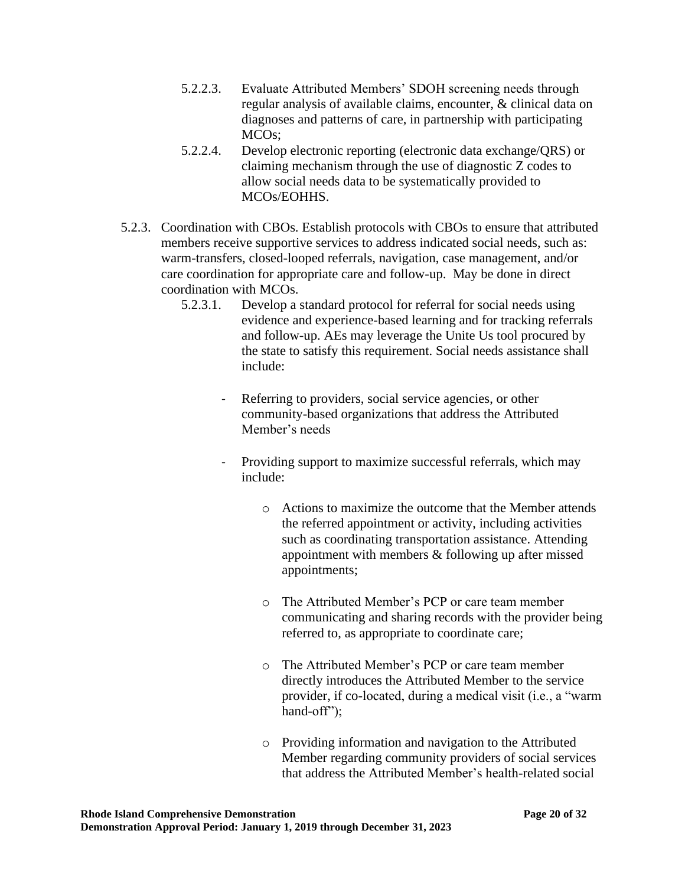- 5.2.2.3. Evaluate Attributed Members' SDOH screening needs through regular analysis of available claims, encounter, & clinical data on diagnoses and patterns of care, in partnership with participating MCOs;
- 5.2.2.4. Develop electronic reporting (electronic data exchange/QRS) or claiming mechanism through the use of diagnostic Z codes to allow social needs data to be systematically provided to MCOs/EOHHS.
- 5.2.3. Coordination with CBOs. Establish protocols with CBOs to ensure that attributed members receive supportive services to address indicated social needs, such as: warm-transfers, closed-looped referrals, navigation, case management, and/or care coordination for appropriate care and follow-up. May be done in direct coordination with MCOs.
	- 5.2.3.1. Develop a standard protocol for referral for social needs using evidence and experience-based learning and for tracking referrals and follow-up. AEs may leverage the Unite Us tool procured by the state to satisfy this requirement. Social needs assistance shall include:
		- Referring to providers, social service agencies, or other community-based organizations that address the Attributed Member's needs
		- Providing support to maximize successful referrals, which may include:
			- o Actions to maximize the outcome that the Member attends the referred appointment or activity, including activities such as coordinating transportation assistance. Attending appointment with members & following up after missed appointments;
			- o The Attributed Member's PCP or care team member communicating and sharing records with the provider being referred to, as appropriate to coordinate care;
			- o The Attributed Member's PCP or care team member directly introduces the Attributed Member to the service provider, if co-located, during a medical visit (i.e., a "warm hand-off");
			- o Providing information and navigation to the Attributed Member regarding community providers of social services that address the Attributed Member's health-related social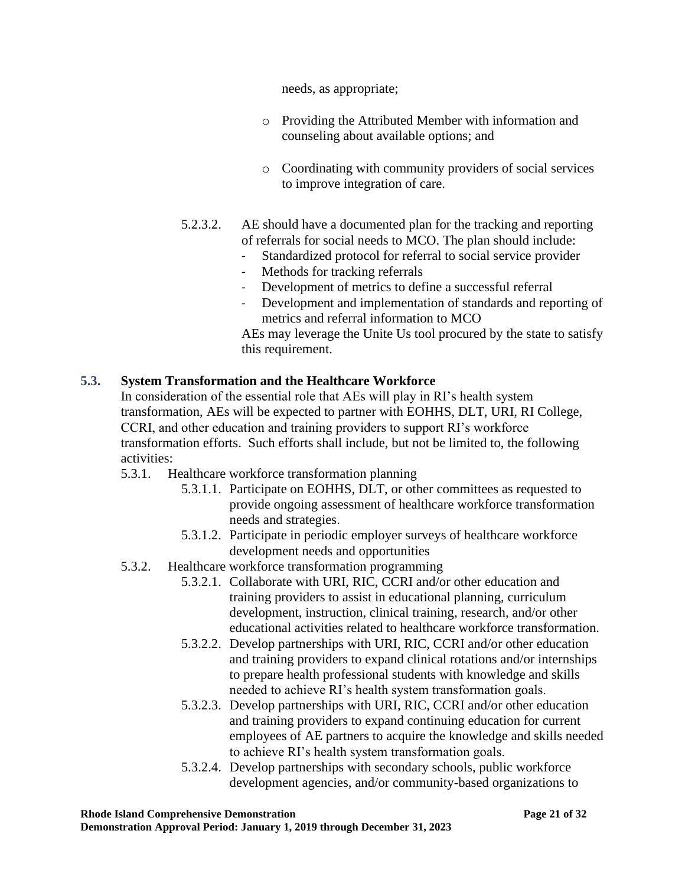needs, as appropriate;

- o Providing the Attributed Member with information and counseling about available options; and
- o Coordinating with community providers of social services to improve integration of care.
- 5.2.3.2. AE should have a documented plan for the tracking and reporting of referrals for social needs to MCO. The plan should include:
	- Standardized protocol for referral to social service provider
	- Methods for tracking referrals
	- Development of metrics to define a successful referral
	- Development and implementation of standards and reporting of metrics and referral information to MCO

AEs may leverage the Unite Us tool procured by the state to satisfy this requirement.

# **5.3. System Transformation and the Healthcare Workforce**

In consideration of the essential role that AEs will play in RI's health system transformation, AEs will be expected to partner with EOHHS, DLT, URI, RI College, CCRI, and other education and training providers to support RI's workforce transformation efforts. Such efforts shall include, but not be limited to, the following activities:

- 5.3.1. Healthcare workforce transformation planning
	- 5.3.1.1. Participate on EOHHS, DLT, or other committees as requested to provide ongoing assessment of healthcare workforce transformation needs and strategies.
	- 5.3.1.2. Participate in periodic employer surveys of healthcare workforce development needs and opportunities
- 5.3.2. Healthcare workforce transformation programming
	- 5.3.2.1. Collaborate with URI, RIC, CCRI and/or other education and training providers to assist in educational planning, curriculum development, instruction, clinical training, research, and/or other educational activities related to healthcare workforce transformation.
	- 5.3.2.2. Develop partnerships with URI, RIC, CCRI and/or other education and training providers to expand clinical rotations and/or internships to prepare health professional students with knowledge and skills needed to achieve RI's health system transformation goals.
	- 5.3.2.3. Develop partnerships with URI, RIC, CCRI and/or other education and training providers to expand continuing education for current employees of AE partners to acquire the knowledge and skills needed to achieve RI's health system transformation goals.
	- 5.3.2.4. Develop partnerships with secondary schools, public workforce development agencies, and/or community-based organizations to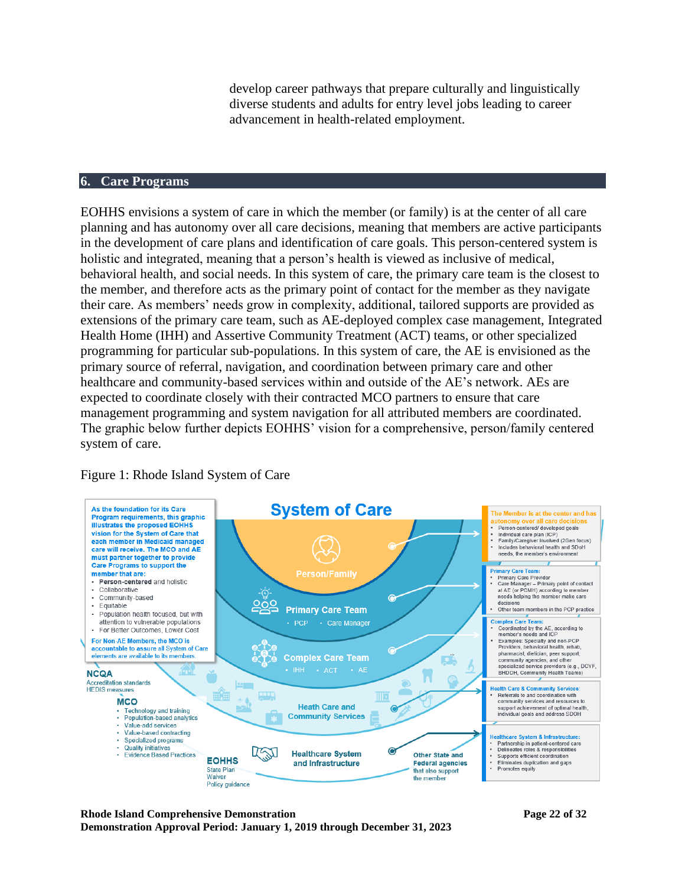develop career pathways that prepare culturally and linguistically diverse students and adults for entry level jobs leading to career advancement in health-related employment.

#### **6. Care Programs**

EOHHS envisions a system of care in which the member (or family) is at the center of all care planning and has autonomy over all care decisions, meaning that members are active participants in the development of care plans and identification of care goals. This person-centered system is holistic and integrated, meaning that a person's health is viewed as inclusive of medical, behavioral health, and social needs. In this system of care, the primary care team is the closest to the member, and therefore acts as the primary point of contact for the member as they navigate their care. As members' needs grow in complexity, additional, tailored supports are provided as extensions of the primary care team, such as AE-deployed complex case management, Integrated Health Home (IHH) and Assertive Community Treatment (ACT) teams, or other specialized programming for particular sub-populations. In this system of care, the AE is envisioned as the primary source of referral, navigation, and coordination between primary care and other healthcare and community-based services within and outside of the AE's network. AEs are expected to coordinate closely with their contracted MCO partners to ensure that care management programming and system navigation for all attributed members are coordinated. The graphic below further depicts EOHHS' vision for a comprehensive, person/family centered system of care.



#### Figure 1: Rhode Island System of Care

**Rhode Island Comprehensive Demonstration Page 22 of 32 Demonstration Approval Period: January 1, 2019 through December 31, 2023**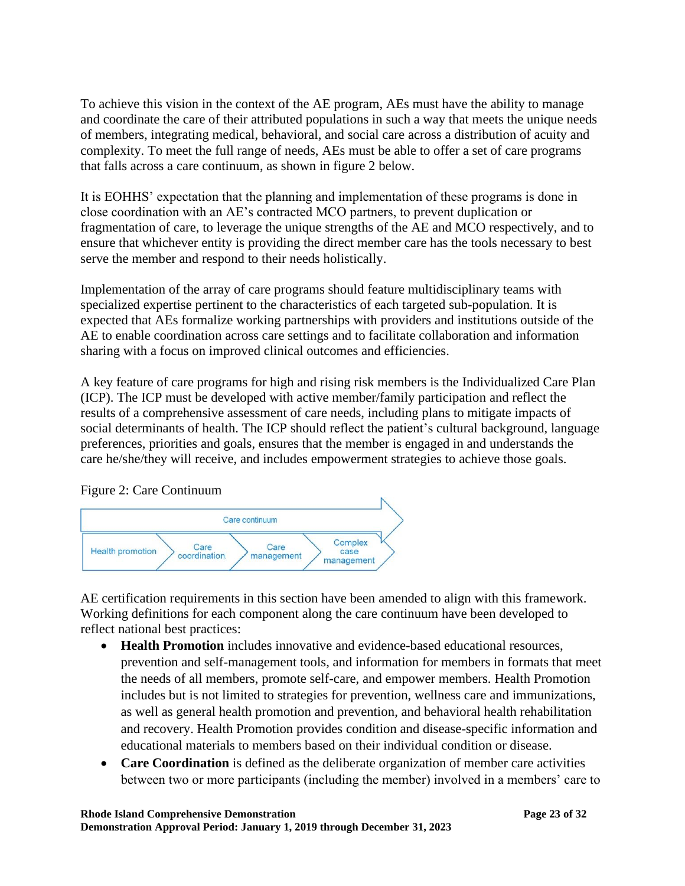To achieve this vision in the context of the AE program, AEs must have the ability to manage and coordinate the care of their attributed populations in such a way that meets the unique needs of members, integrating medical, behavioral, and social care across a distribution of acuity and complexity. To meet the full range of needs, AEs must be able to offer a set of care programs that falls across a care continuum, as shown in figure 2 below.

It is EOHHS' expectation that the planning and implementation of these programs is done in close coordination with an AE's contracted MCO partners, to prevent duplication or fragmentation of care, to leverage the unique strengths of the AE and MCO respectively, and to ensure that whichever entity is providing the direct member care has the tools necessary to best serve the member and respond to their needs holistically.

Implementation of the array of care programs should feature multidisciplinary teams with specialized expertise pertinent to the characteristics of each targeted sub-population. It is expected that AEs formalize working partnerships with providers and institutions outside of the AE to enable coordination across care settings and to facilitate collaboration and information sharing with a focus on improved clinical outcomes and efficiencies.

A key feature of care programs for high and rising risk members is the Individualized Care Plan (ICP). The ICP must be developed with active member/family participation and reflect the results of a comprehensive assessment of care needs, including plans to mitigate impacts of social determinants of health. The ICP should reflect the patient's cultural background, language preferences, priorities and goals, ensures that the member is engaged in and understands the care he/she/they will receive, and includes empowerment strategies to achieve those goals.



Figure 2: Care Continuum

AE certification requirements in this section have been amended to align with this framework. Working definitions for each component along the care continuum have been developed to reflect national best practices:

- **Health Promotion** includes innovative and evidence-based educational resources, prevention and self-management tools, and information for members in formats that meet the needs of all members, promote self-care, and empower members. Health Promotion includes but is not limited to strategies for prevention, wellness care and immunizations, as well as general health promotion and prevention, and behavioral health rehabilitation and recovery. Health Promotion provides condition and disease-specific information and educational materials to members based on their individual condition or disease.
- **Care Coordination** is defined as the deliberate organization of member care activities between two or more participants (including the member) involved in a members' care to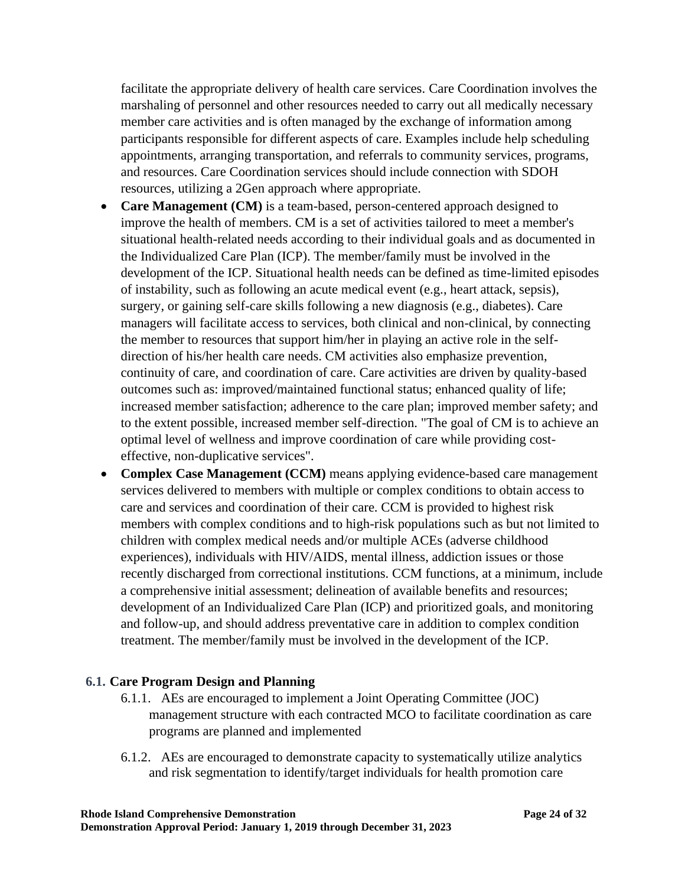facilitate the appropriate delivery of health care services. Care Coordination involves the marshaling of personnel and other resources needed to carry out all medically necessary member care activities and is often managed by the exchange of information among participants responsible for different aspects of care. Examples include help scheduling appointments, arranging transportation, and referrals to community services, programs, and resources. Care Coordination services should include connection with SDOH resources, utilizing a 2Gen approach where appropriate.

- **Care Management (CM)** is a team-based, person-centered approach designed to improve the health of members. CM is a set of activities tailored to meet a member's situational health-related needs according to their individual goals and as documented in the Individualized Care Plan (ICP). The member/family must be involved in the development of the ICP. Situational health needs can be defined as time-limited episodes of instability, such as following an acute medical event (e.g., heart attack, sepsis), surgery, or gaining self-care skills following a new diagnosis (e.g., diabetes). Care managers will facilitate access to services, both clinical and non-clinical, by connecting the member to resources that support him/her in playing an active role in the selfdirection of his/her health care needs. CM activities also emphasize prevention, continuity of care, and coordination of care. Care activities are driven by quality-based outcomes such as: improved/maintained functional status; enhanced quality of life; increased member satisfaction; adherence to the care plan; improved member safety; and to the extent possible, increased member self-direction. "The goal of CM is to achieve an optimal level of wellness and improve coordination of care while providing costeffective, non-duplicative services".
- **Complex Case Management (CCM)** means applying evidence-based care management services delivered to members with multiple or complex conditions to obtain access to care and services and coordination of their care. CCM is provided to highest risk members with complex conditions and to high-risk populations such as but not limited to children with complex medical needs and/or multiple ACEs (adverse childhood experiences), individuals with HIV/AIDS, mental illness, addiction issues or those recently discharged from correctional institutions. CCM functions, at a minimum, include a comprehensive initial assessment; delineation of available benefits and resources; development of an Individualized Care Plan (ICP) and prioritized goals, and monitoring and follow-up, and should address preventative care in addition to complex condition treatment. The member/family must be involved in the development of the ICP.

#### **6.1. Care Program Design and Planning**

- 6.1.1. AEs are encouraged to implement a Joint Operating Committee (JOC) management structure with each contracted MCO to facilitate coordination as care programs are planned and implemented
- 6.1.2. AEs are encouraged to demonstrate capacity to systematically utilize analytics and risk segmentation to identify/target individuals for health promotion care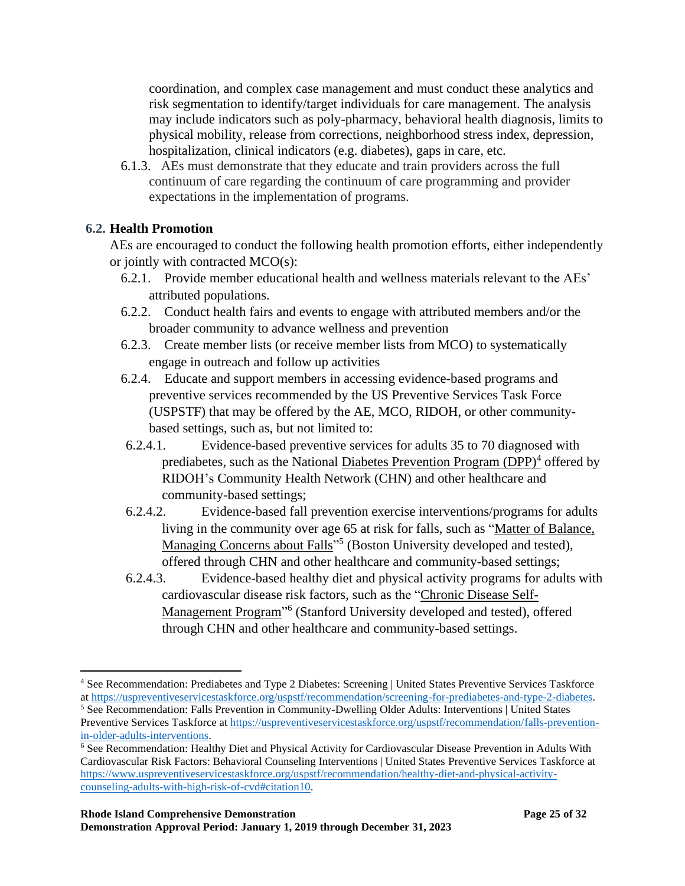coordination, and complex case management and must conduct these analytics and risk segmentation to identify/target individuals for care management. The analysis may include indicators such as poly-pharmacy, behavioral health diagnosis, limits to physical mobility, release from corrections, neighborhood stress index, depression, hospitalization, clinical indicators (e.g. diabetes), gaps in care, etc.

6.1.3. AEs must demonstrate that they educate and train providers across the full continuum of care regarding the continuum of care programming and provider expectations in the implementation of programs.

# **6.2. Health Promotion**

AEs are encouraged to conduct the following health promotion efforts, either independently or jointly with contracted MCO(s):

- 6.2.1. Provide member educational health and wellness materials relevant to the AEs' attributed populations.
- 6.2.2. Conduct health fairs and events to engage with attributed members and/or the broader community to advance wellness and prevention
- 6.2.3. Create member lists (or receive member lists from MCO) to systematically engage in outreach and follow up activities
- 6.2.4. Educate and support members in accessing evidence-based programs and preventive services recommended by the US Preventive Services Task Force (USPSTF) that may be offered by the AE, MCO, RIDOH, or other communitybased settings, such as, but not limited to:
- 6.2.4.1. Evidence-based preventive services for adults 35 to 70 diagnosed with prediabetes, such as the National Diabetes Prevention Program (DPP)<sup>4</sup> offered by RIDOH's Community Health Network (CHN) and other healthcare and community-based settings;
- 6.2.4.2. Evidence-based fall prevention exercise interventions/programs for adults living in the community over age 65 at risk for falls, such as "Matter of Balance, Managing Concerns about Falls<sup>"5</sup> (Boston University developed and tested), offered through CHN and other healthcare and community-based settings;
- 6.2.4.3. Evidence-based healthy diet and physical activity programs for adults with cardiovascular disease risk factors, such as the "Chronic Disease Self-Management Program<sup>"6</sup> (Stanford University developed and tested), offered through CHN and other healthcare and community-based settings.

<sup>4</sup> See Recommendation: Prediabetes and Type 2 Diabetes: Screening | United States Preventive Services Taskforce a[t https://uspreventiveservicestaskforce.org/uspstf/recommendation/screening-for-prediabetes-and-type-2-diabetes.](https://uspreventiveservicestaskforce.org/uspstf/recommendation/screening-for-prediabetes-and-type-2-diabetes)

<sup>5</sup> See Recommendation: Falls Prevention in Community-Dwelling Older Adults: Interventions | United States Preventive Services Taskforce at [https://uspreventiveservicestaskforce.org/uspstf/recommendation/falls-prevention](https://uspreventiveservicestaskforce.org/uspstf/recommendation/falls-prevention-in-older-adults-interventions)[in-older-adults-interventions.](https://uspreventiveservicestaskforce.org/uspstf/recommendation/falls-prevention-in-older-adults-interventions)

<sup>6</sup> See Recommendation: Healthy Diet and Physical Activity for Cardiovascular Disease Prevention in Adults With Cardiovascular Risk Factors: Behavioral Counseling Interventions | United States Preventive Services Taskforce at [https://www.uspreventiveservicestaskforce.org/uspstf/recommendation/healthy-diet-and-physical-activity](https://www.uspreventiveservicestaskforce.org/uspstf/recommendation/healthy-diet-and-physical-activity-counseling-adults-with-high-risk-of-cvd#citation10)[counseling-adults-with-high-risk-of-cvd#citation10.](https://www.uspreventiveservicestaskforce.org/uspstf/recommendation/healthy-diet-and-physical-activity-counseling-adults-with-high-risk-of-cvd#citation10)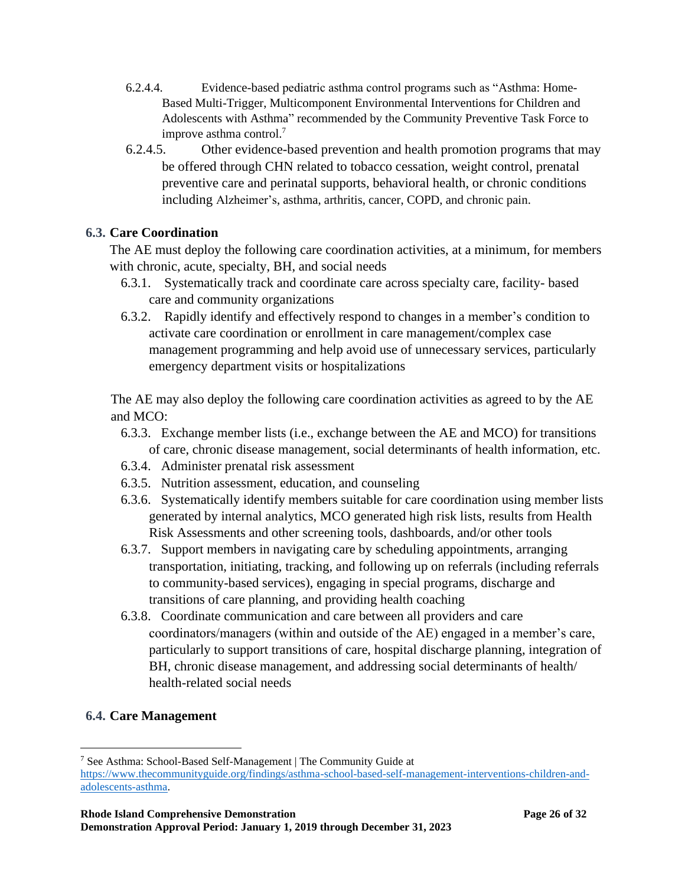- 6.2.4.4. Evidence-based pediatric asthma control programs such as "Asthma: Home-Based Multi-Trigger, Multicomponent Environmental Interventions for Children and Adolescents with Asthma" recommended by the Community Preventive Task Force to improve asthma control.<sup>7</sup>
- 6.2.4.5. Other evidence-based prevention and health promotion programs that may be offered through CHN related to tobacco cessation, weight control, prenatal preventive care and perinatal supports, behavioral health, or chronic conditions including Alzheimer's, asthma, arthritis, cancer, COPD, and chronic pain.

# **6.3. Care Coordination**

The AE must deploy the following care coordination activities, at a minimum, for members with chronic, acute, specialty, BH, and social needs

- 6.3.1. Systematically track and coordinate care across specialty care, facility- based care and community organizations
- 6.3.2. Rapidly identify and effectively respond to changes in a member's condition to activate care coordination or enrollment in care management/complex case management programming and help avoid use of unnecessary services, particularly emergency department visits or hospitalizations

The AE may also deploy the following care coordination activities as agreed to by the AE and MCO:

- 6.3.3. Exchange member lists (i.e., exchange between the AE and MCO) for transitions of care, chronic disease management, social determinants of health information, etc.
- 6.3.4. Administer prenatal risk assessment
- 6.3.5. Nutrition assessment, education, and counseling
- 6.3.6. Systematically identify members suitable for care coordination using member lists generated by internal analytics, MCO generated high risk lists, results from Health Risk Assessments and other screening tools, dashboards, and/or other tools
- 6.3.7. Support members in navigating care by scheduling appointments, arranging transportation, initiating, tracking, and following up on referrals (including referrals to community-based services), engaging in special programs, discharge and transitions of care planning, and providing health coaching
- 6.3.8. Coordinate communication and care between all providers and care coordinators/managers (within and outside of the AE) engaged in a member's care, particularly to support transitions of care, hospital discharge planning, integration of BH, chronic disease management, and addressing social determinants of health/ health-related social needs

# **6.4. Care Management**

<sup>7</sup> See Asthma: School-Based Self-Management | The Community Guide at

[https://www.thecommunityguide.org/findings/asthma-school-based-self-management-interventions-children-and](https://www.thecommunityguide.org/findings/asthma-school-based-self-management-interventions-children-and-adolescents-asthma)[adolescents-asthma.](https://www.thecommunityguide.org/findings/asthma-school-based-self-management-interventions-children-and-adolescents-asthma)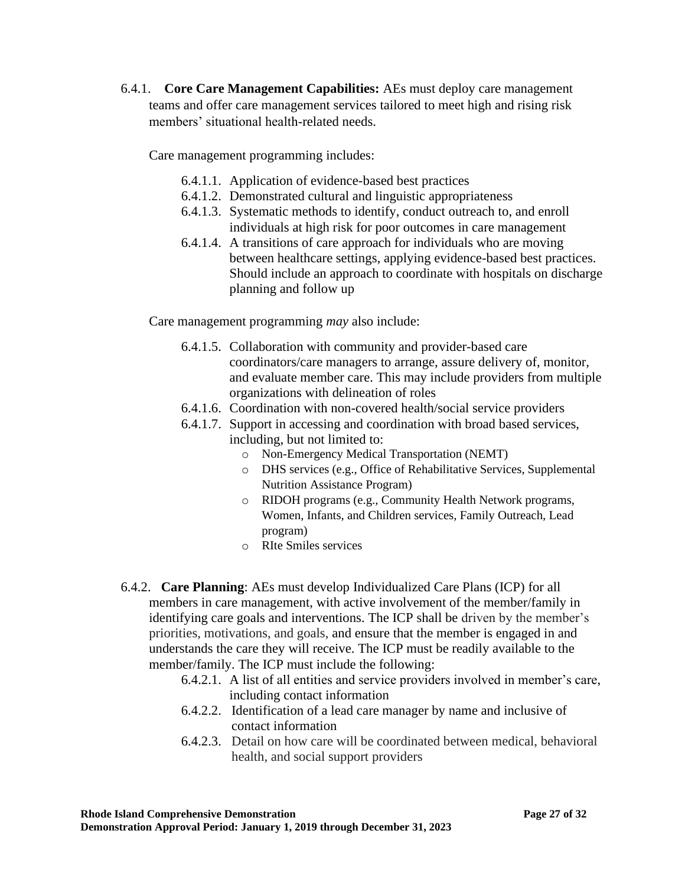6.4.1. **Core Care Management Capabilities:** AEs must deploy care management teams and offer care management services tailored to meet high and rising risk members' situational health-related needs.

Care management programming includes:

- 6.4.1.1. Application of evidence-based best practices
- 6.4.1.2. Demonstrated cultural and linguistic appropriateness
- 6.4.1.3. Systematic methods to identify, conduct outreach to, and enroll individuals at high risk for poor outcomes in care management
- 6.4.1.4. A transitions of care approach for individuals who are moving between healthcare settings, applying evidence-based best practices. Should include an approach to coordinate with hospitals on discharge planning and follow up

Care management programming *may* also include:

- 6.4.1.5. Collaboration with community and provider-based care coordinators/care managers to arrange, assure delivery of, monitor, and evaluate member care. This may include providers from multiple organizations with delineation of roles
- 6.4.1.6. Coordination with non-covered health/social service providers
- 6.4.1.7. Support in accessing and coordination with broad based services, including, but not limited to:
	- o Non-Emergency Medical Transportation (NEMT)
	- o DHS services (e.g., Office of Rehabilitative Services, Supplemental Nutrition Assistance Program)
	- o RIDOH programs (e.g., Community Health Network programs, Women, Infants, and Children services, Family Outreach, Lead program)
	- o RIte Smiles services
- 6.4.2. **Care Planning**: AEs must develop Individualized Care Plans (ICP) for all members in care management, with active involvement of the member/family in identifying care goals and interventions. The ICP shall be driven by the member's priorities, motivations, and goals, and ensure that the member is engaged in and understands the care they will receive. The ICP must be readily available to the member/family. The ICP must include the following:
	- 6.4.2.1. A list of all entities and service providers involved in member's care, including contact information
	- 6.4.2.2. Identification of a lead care manager by name and inclusive of contact information
	- 6.4.2.3. Detail on how care will be coordinated between medical, behavioral health, and social support providers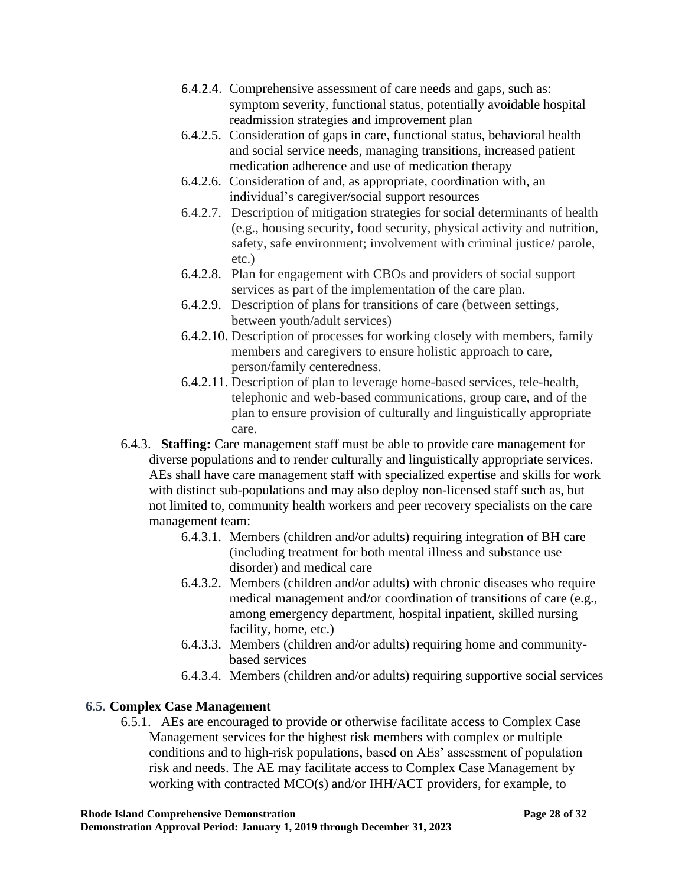- 6.4.2.4. Comprehensive assessment of care needs and gaps, such as: symptom severity, functional status, potentially avoidable hospital readmission strategies and improvement plan
- 6.4.2.5. Consideration of gaps in care, functional status, behavioral health and social service needs, managing transitions, increased patient medication adherence and use of medication therapy
- 6.4.2.6. Consideration of and, as appropriate, coordination with, an individual's caregiver/social support resources
- 6.4.2.7. Description of mitigation strategies for social determinants of health (e.g., housing security, food security, physical activity and nutrition, safety, safe environment; involvement with criminal justice/ parole, etc.)
- 6.4.2.8. Plan for engagement with CBOs and providers of social support services as part of the implementation of the care plan.
- 6.4.2.9. Description of plans for transitions of care (between settings, between youth/adult services)
- 6.4.2.10. Description of processes for working closely with members, family members and caregivers to ensure holistic approach to care, person/family centeredness.
- 6.4.2.11. Description of plan to leverage home-based services, tele-health, telephonic and web-based communications, group care, and of the plan to ensure provision of culturally and linguistically appropriate care.
- 6.4.3. **Staffing:** Care management staff must be able to provide care management for diverse populations and to render culturally and linguistically appropriate services. AEs shall have care management staff with specialized expertise and skills for work with distinct sub-populations and may also deploy non-licensed staff such as, but not limited to, community health workers and peer recovery specialists on the care management team:
	- 6.4.3.1. Members (children and/or adults) requiring integration of BH care (including treatment for both mental illness and substance use disorder) and medical care
	- 6.4.3.2. Members (children and/or adults) with chronic diseases who require medical management and/or coordination of transitions of care (e.g., among emergency department, hospital inpatient, skilled nursing facility, home, etc.)
	- 6.4.3.3. Members (children and/or adults) requiring home and communitybased services
	- 6.4.3.4. Members (children and/or adults) requiring supportive social services

# **6.5. Complex Case Management**

6.5.1. AEs are encouraged to provide or otherwise facilitate access to Complex Case Management services for the highest risk members with complex or multiple conditions and to high-risk populations, based on AEs' assessment of population risk and needs. The AE may facilitate access to Complex Case Management by working with contracted MCO(s) and/or IHH/ACT providers, for example, to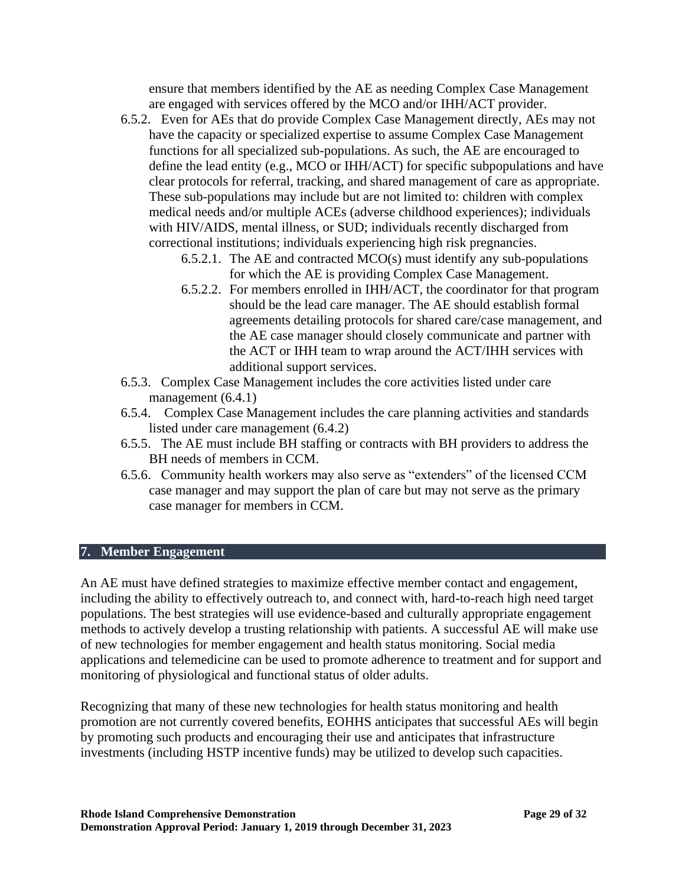ensure that members identified by the AE as needing Complex Case Management are engaged with services offered by the MCO and/or IHH/ACT provider.

- 6.5.2. Even for AEs that do provide Complex Case Management directly, AEs may not have the capacity or specialized expertise to assume Complex Case Management functions for all specialized sub-populations. As such, the AE are encouraged to define the lead entity (e.g., MCO or IHH/ACT) for specific subpopulations and have clear protocols for referral, tracking, and shared management of care as appropriate. These sub-populations may include but are not limited to: children with complex medical needs and/or multiple ACEs (adverse childhood experiences); individuals with HIV/AIDS, mental illness, or SUD; individuals recently discharged from correctional institutions; individuals experiencing high risk pregnancies.
	- 6.5.2.1. The AE and contracted MCO(s) must identify any sub-populations for which the AE is providing Complex Case Management.
	- 6.5.2.2. For members enrolled in IHH/ACT, the coordinator for that program should be the lead care manager. The AE should establish formal agreements detailing protocols for shared care/case management, and the AE case manager should closely communicate and partner with the ACT or IHH team to wrap around the ACT/IHH services with additional support services.
- 6.5.3. Complex Case Management includes the core activities listed under care management (6.4.1)
- 6.5.4. Complex Case Management includes the care planning activities and standards listed under care management (6.4.2)
- 6.5.5. The AE must include BH staffing or contracts with BH providers to address the BH needs of members in CCM.
- 6.5.6. Community health workers may also serve as "extenders" of the licensed CCM case manager and may support the plan of care but may not serve as the primary case manager for members in CCM.

#### **7. Member Engagement**

An AE must have defined strategies to maximize effective member contact and engagement, including the ability to effectively outreach to, and connect with, hard-to-reach high need target populations. The best strategies will use evidence-based and culturally appropriate engagement methods to actively develop a trusting relationship with patients. A successful AE will make use of new technologies for member engagement and health status monitoring. Social media applications and telemedicine can be used to promote adherence to treatment and for support and monitoring of physiological and functional status of older adults.

Recognizing that many of these new technologies for health status monitoring and health promotion are not currently covered benefits, EOHHS anticipates that successful AEs will begin by promoting such products and encouraging their use and anticipates that infrastructure investments (including HSTP incentive funds) may be utilized to develop such capacities.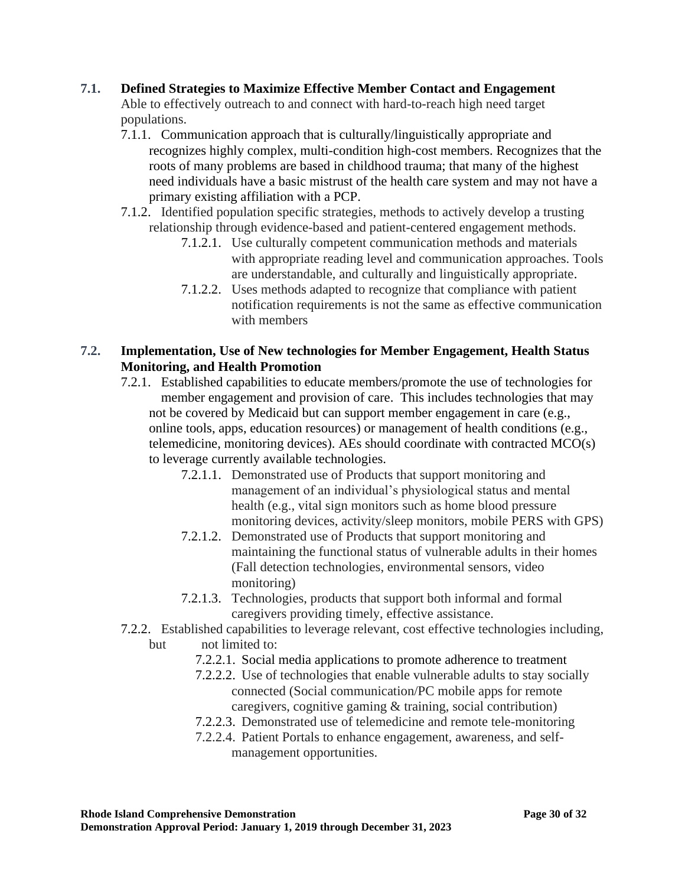## **7.1. Defined Strategies to Maximize Effective Member Contact and Engagement**

Able to effectively outreach to and connect with hard-to-reach high need target populations.

- 7.1.1. Communication approach that is culturally/linguistically appropriate and recognizes highly complex, multi-condition high-cost members. Recognizes that the roots of many problems are based in childhood trauma; that many of the highest need individuals have a basic mistrust of the health care system and may not have a primary existing affiliation with a PCP.
- 7.1.2. Identified population specific strategies, methods to actively develop a trusting relationship through evidence-based and patient-centered engagement methods.
	- 7.1.2.1. Use culturally competent communication methods and materials with appropriate reading level and communication approaches. Tools are understandable, and culturally and linguistically appropriate.
	- 7.1.2.2. Uses methods adapted to recognize that compliance with patient notification requirements is not the same as effective communication with members

# **7.2. Implementation, Use of New technologies for Member Engagement, Health Status Monitoring, and Health Promotion**

- 7.2.1. Established capabilities to educate members/promote the use of technologies for member engagement and provision of care. This includes technologies that may not be covered by Medicaid but can support member engagement in care (e.g., online tools, apps, education resources) or management of health conditions (e.g., telemedicine, monitoring devices). AEs should coordinate with contracted MCO(s) to leverage currently available technologies.
	- 7.2.1.1. Demonstrated use of Products that support monitoring and management of an individual's physiological status and mental health (e.g., vital sign monitors such as home blood pressure monitoring devices, activity/sleep monitors, mobile PERS with GPS)
	- 7.2.1.2. Demonstrated use of Products that support monitoring and maintaining the functional status of vulnerable adults in their homes (Fall detection technologies, environmental sensors, video monitoring)
	- 7.2.1.3. Technologies, products that support both informal and formal caregivers providing timely, effective assistance.
- 7.2.2. Established capabilities to leverage relevant, cost effective technologies including, but not limited to:
	- 7.2.2.1. Social media applications to promote adherence to treatment
	- 7.2.2.2. Use of technologies that enable vulnerable adults to stay socially connected (Social communication/PC mobile apps for remote caregivers, cognitive gaming & training, social contribution)
	- 7.2.2.3. Demonstrated use of telemedicine and remote tele-monitoring
	- 7.2.2.4. Patient Portals to enhance engagement, awareness, and selfmanagement opportunities.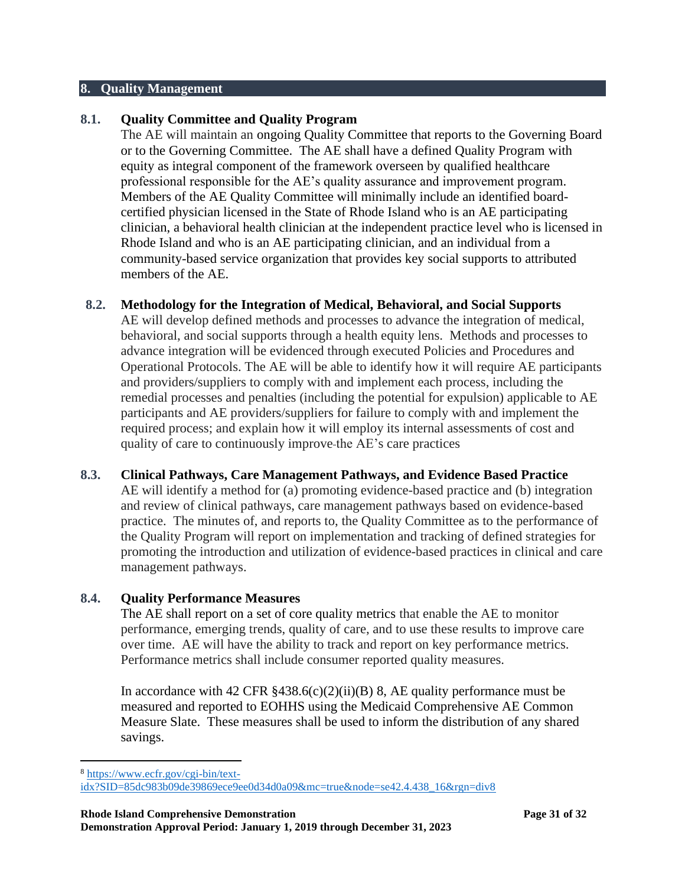#### **8. Quality Management**

#### **8.1. Quality Committee and Quality Program**

The AE will maintain an ongoing Quality Committee that reports to the Governing Board or to the Governing Committee. The AE shall have a defined Quality Program with equity as integral component of the framework overseen by qualified healthcare professional responsible for the AE's quality assurance and improvement program. Members of the AE Quality Committee will minimally include an identified boardcertified physician licensed in the State of Rhode Island who is an AE participating clinician, a behavioral health clinician at the independent practice level who is licensed in Rhode Island and who is an AE participating clinician, and an individual from a community-based service organization that provides key social supports to attributed members of the AE.

#### **8.2. Methodology for the Integration of Medical, Behavioral, and Social Supports**

AE will develop defined methods and processes to advance the integration of medical, behavioral, and social supports through a health equity lens. Methods and processes to advance integration will be evidenced through executed Policies and Procedures and Operational Protocols. The AE will be able to identify how it will require AE participants and providers/suppliers to comply with and implement each process, including the remedial processes and penalties (including the potential for expulsion) applicable to AE participants and AE providers/suppliers for failure to comply with and implement the required process; and explain how it will employ its internal assessments of cost and quality of care to continuously improve the AE's care practices

#### **8.3. Clinical Pathways, Care Management Pathways, and Evidence Based Practice**

AE will identify a method for (a) promoting evidence-based practice and (b) integration and review of clinical pathways, care management pathways based on evidence-based practice. The minutes of, and reports to, the Quality Committee as to the performance of the Quality Program will report on implementation and tracking of defined strategies for promoting the introduction and utilization of evidence-based practices in clinical and care management pathways.

#### **8.4. Quality Performance Measures**

The AE shall report on a set of core quality metrics that enable the AE to monitor performance, emerging trends, quality of care, and to use these results to improve care over time. AE will have the ability to track and report on key performance metrics. Performance metrics shall include consumer reported quality measures.

In accordance with 42 CFR  $\S 438.6(c)(2)(ii)(B) 8$ , AE quality performance must be measured and reported to EOHHS using the Medicaid Comprehensive AE Common Measure Slate. These measures shall be used to inform the distribution of any shared savings.

<sup>8</sup> [https://www.ecfr.gov/cgi-bin/text-](https://www.ecfr.gov/cgi-bin/text-idx?SID=85dc983b09de39869ece9ee0d34d0a09&mc=true&node=se42.4.438_16&rgn=div8)

[idx?SID=85dc983b09de39869ece9ee0d34d0a09&mc=true&node=se42.4.438\\_16&rgn=div8](https://www.ecfr.gov/cgi-bin/text-idx?SID=85dc983b09de39869ece9ee0d34d0a09&mc=true&node=se42.4.438_16&rgn=div8)